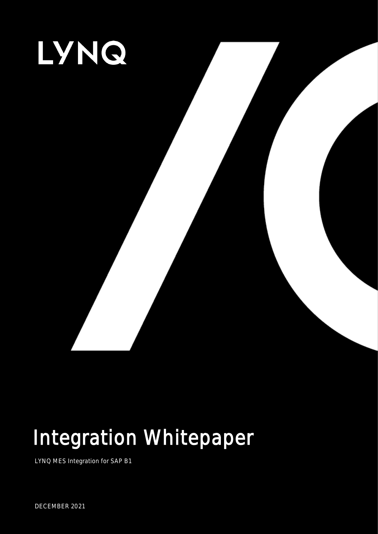

# Integration Whitepaper

LYNQ MES Integration for SAP B1

DECEMBER 2021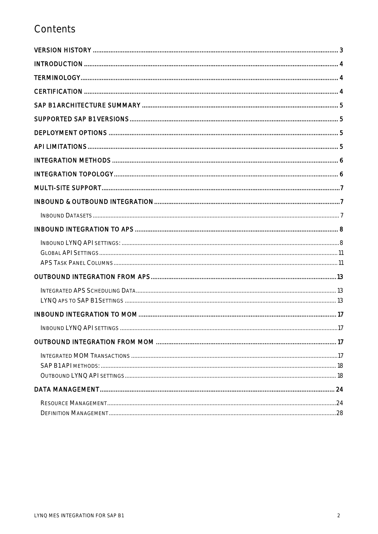# Contents

| . 17 |
|------|
|      |
|      |
|      |
|      |
|      |
|      |
|      |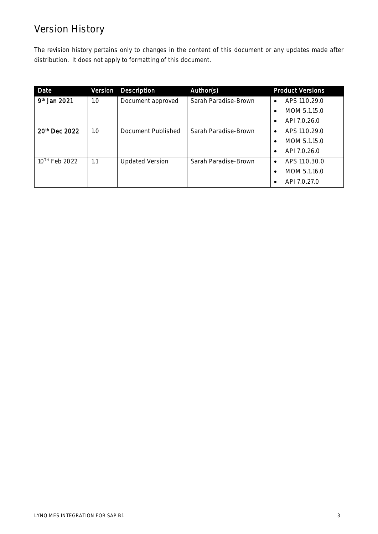# Version History

The revision history pertains only to changes in the content of this document or any updates made after distribution. It does not apply to formatting of this document.

| Date                      | Version | <b>Description</b>     | Author(s)            | <b>Product Versions</b>    |
|---------------------------|---------|------------------------|----------------------|----------------------------|
| 9 <sup>th</sup> Jan 2021  | 1.0     | Document approved      | Sarah Paradise-Brown | APS 11.0.29.0<br>$\bullet$ |
|                           |         |                        |                      | MOM 5.1.15.0<br>$\bullet$  |
|                           |         |                        |                      | API 7.0.26.0<br>$\bullet$  |
| 20 <sup>th</sup> Dec 2022 | 1.0     | Document Published     | Sarah Paradise-Brown | APS 11.0.29.0<br>$\bullet$ |
|                           |         |                        |                      | MOM 5.1.15.0<br>$\bullet$  |
|                           |         |                        |                      | API 7.0.26.0<br>$\bullet$  |
| 10 <sup>TH</sup> Feb 2022 | 1.1     | <b>Updated Version</b> | Sarah Paradise-Brown | APS 11.0.30.0<br>$\bullet$ |
|                           |         |                        |                      | MOM 5.1.16.0<br>$\bullet$  |
|                           |         |                        |                      | API 7.0.27.0               |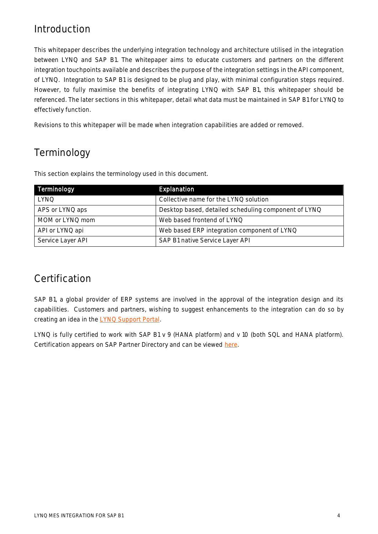# Introduction

This whitepaper describes the underlying integration technology and architecture utilised in the integration between LYNQ and SAP B1. The whitepaper aims to educate customers and partners on the different integration touchpoints available and describes the purpose of the integration settings in the API component, of LYNQ. Integration to SAP B1 is designed to be plug and play, with minimal configuration steps required. However, to fully maximise the benefits of integrating LYNQ with SAP B1, this whitepaper should be referenced. The later sections in this whitepaper, detail what data must be maintained in SAP B1 for LYNQ to effectively function.

Revisions to this whitepaper will be made when integration capabilities are added or removed.

# Terminology

This section explains the terminology used in this document.

| Terminology       | Explanation                                          |
|-------------------|------------------------------------------------------|
| <b>LYNQ</b>       | Collective name for the LYNQ solution                |
| APS or LYNQ aps   | Desktop based, detailed scheduling component of LYNQ |
| MOM or LYNQ mom   | Web based frontend of LYNQ                           |
| API or LYNQ api   | Web based ERP integration component of LYNQ          |
| Service Layer API | SAP B1 native Service Layer API                      |

# Certification

SAP B1, a global provider of ERP systems are involved in the approval of the integration design and its capabilities. Customers and partners, wishing to suggest enhancements to the integration can do so by creating an idea in the **LYNQ Support Portal**.

LYNQ is fully certified to work with SAP B1 v 9 (HANA platform) and v 10 (both SQL and HANA platform). Certification appears on SAP Partner Directory and can be viewed [here.](https://www.sap.com/dmc/exp/2013_09_adpd/enEN/#/partners?search=lynq&id=p:3a7bc423-df57-492d-ba22-4c4be041ae48)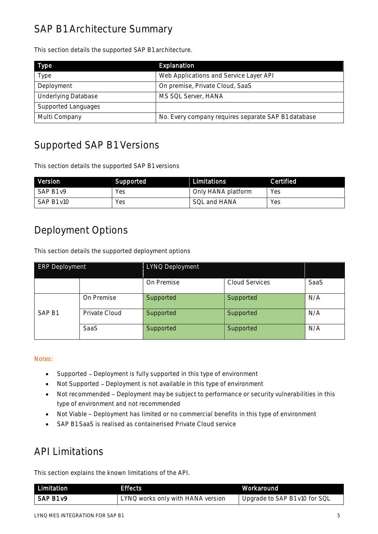# SAP B1 Architecture Summary

This section details the supported SAP B1 architecture.

| <b>Type</b>                | Explanation                                         |
|----------------------------|-----------------------------------------------------|
| Type                       | Web Applications and Service Layer API              |
| Deployment                 | On premise, Private Cloud, SaaS                     |
| <b>Underlying Database</b> | MS SQL Server, HANA                                 |
| Supported Languages        |                                                     |
| Multi Company              | No. Every company requires separate SAP B1 database |

# Supported SAP B1 Versions

This section details the supported SAP B1 versions

| Version    | Supported | Limitations        | <b>Certified</b> |
|------------|-----------|--------------------|------------------|
| SAP B1 v9  | Yes       | Only HANA platform | Yes              |
| SAP B1 v10 | Yes       | SOL and HANA       | Yes              |

# Deployment Options

This section details the supported deployment options

| <b>ERP Deployment</b> |               | LYNQ Deployment |                       |      |
|-----------------------|---------------|-----------------|-----------------------|------|
|                       |               | On Premise      | <b>Cloud Services</b> | SaaS |
|                       | On Premise    | Supported       | Supported             | N/A  |
| SAP <sub>B1</sub>     | Private Cloud | Supported       | Supported             | N/A  |
|                       | <b>SaaS</b>   | Supported       | Supported             | N/A  |

### Notes:

- Supported Deployment is fully supported in this type of environment
- Not Supported Deployment is not available in this type of environment
- Not recommended Deployment may be subject to performance or security vulnerabilities in this type of environment and not recommended
- Not Viable Deployment has limited or no commercial benefits in this type of environment
- SAP B1 SaaS is realised as containerised Private Cloud service

# API Limitations

This section explains the known limitations of the API.

| Limitation | Effects                           | .Workaround'                  |
|------------|-----------------------------------|-------------------------------|
| SAP B1 v9  | LYNQ works only with HANA version | Upgrade to SAP B1 v10 for SQL |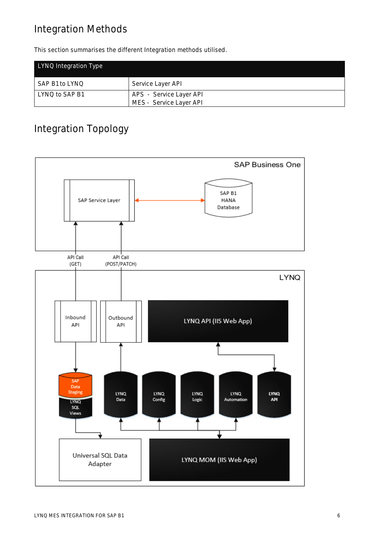# Integration Methods

This section summarises the different Integration methods utilised.

| LYNQ Integration Type |                                                    |
|-----------------------|----------------------------------------------------|
| SAP B1 to LYNQ        | Service Layer API                                  |
| LYNQ to SAP B1        | APS - Service Layer API<br>MES - Service Layer API |

# Integration Topology

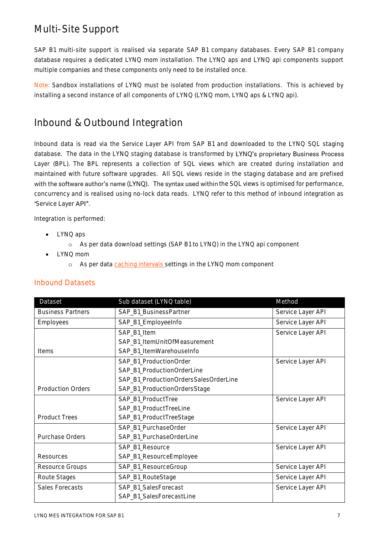# Multi-Site Support

SAP B1 multi-site support is realised via separate SAP B1 company databases. Every SAP B1 company database requires a dedicated LYNQ mom installation. The LYNQ aps and LYNQ api components support multiple companies and these components only need to be installed once.

Note: Sandbox installations of LYNQ must be isolated from production installations. This is achieved by installing a second instance of all components of LYNQ (LYNQ mom, LYNQ aps & LYNQ api).

# Inbound & Outbound Integration

Inbound data is read via the Service Layer API from SAP B1 and downloaded to the LYNQ SQL staging database. The data in the LYNQ staging database is transformed by LYNQ's proprietary Business Process Layer (BPL). The BPL represents a collection of SQL views which are created during installation and maintained with future software upgrades. All SQL views reside in the staging database and are prefixed with the software author's name (LYNQ). The syntax used within the SQL views is optimised for performance, concurrency and is realised using no-lock data reads. LYNQ refer to this method of inbound integration as 'Service Layer API".

Integration is performed:

- LYNQ aps
	- o As per data download settings (SAP B1 to LYNQ) in the LYNQ api component
- LYNQ mom
	- o As per data [caching intervals](https://support.lynqmes.com/en-us/knowledgebase/article/KA-01741) settings in the LYNQ mom component

| Dataset                  | Sub dataset (LYNQ table)              | Method            |
|--------------------------|---------------------------------------|-------------------|
| <b>Business Partners</b> | SAP_B1_BusinessPartner                | Service Layer API |
| Employees                | SAP_B1_EmployeeInfo                   | Service Layer API |
|                          | SAP_B1_Item                           | Service Layer API |
|                          | SAP_B1_ItemUnitOfMeasurement          |                   |
| <b>Items</b>             | SAP_B1_ItemWarehouseInfo              |                   |
|                          | SAP_B1_ProductionOrder                | Service Layer API |
|                          | SAP_B1_ProductionOrderLine            |                   |
|                          | SAP_B1_ProductionOrdersSalesOrderLine |                   |
| <b>Production Orders</b> | SAP_B1_ProductionOrdersStage          |                   |
|                          | SAP_B1_ProductTree                    | Service Layer API |
|                          | SAP_B1_ProductTreeLine                |                   |
| <b>Product Trees</b>     | SAP_B1_ProductTreeStage               |                   |
|                          | SAP_B1_PurchaseOrder                  | Service Layer API |
| Purchase Orders          | SAP_B1_PurchaseOrderLine              |                   |
|                          | SAP_B1_Resource                       | Service Layer API |
| Resources                | SAP_B1_ResourceEmployee               |                   |
| Resource Groups          | SAP_B1_ResourceGroup                  | Service Layer API |
| Route Stages             | SAP_B1_RouteStage                     | Service Layer API |
| Sales Forecasts          | SAP_B1_SalesForecast                  | Service Layer API |
|                          | SAP_B1_SalesForecastLine              |                   |

### Inbound Datasets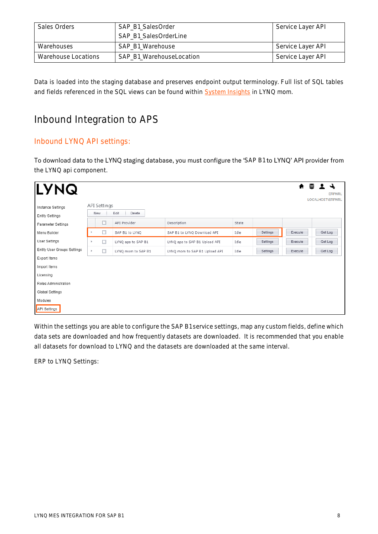| Sales Orders        | SAP B1 SalesOrder<br>SAP B1 SalesOrderLine | Service Layer API |
|---------------------|--------------------------------------------|-------------------|
| Warehouses          | SAP B1 Warehouse                           | Service Layer API |
| Warehouse Locations | SAP B1 WarehouseLocation                   | Service Layer API |

Data is loaded into the staging database and preserves endpoint output terminology. Full list of SQL tables and fields referenced in the SQL views can be found within **System Insights** in LYNQ mom.

# Inbound Integration to APS

# Inbound LYNQ API settings:

To download data to the LYNQ staging database, you must configure the 'SAP B1 to LYNQ' API provider from the LYNQ api component.

| <b>LYNQ</b>                                 |                            |                    |                               |       |          |         | ★ 昌 1 イ<br><b>ERPNRL</b> |
|---------------------------------------------|----------------------------|--------------------|-------------------------------|-------|----------|---------|--------------------------|
| Instance Settings<br><b>Entity Settings</b> | <b>API Settings</b><br>New | Edit<br>Delete     |                               |       |          |         | <b>LOCALHOST\ERPNRL</b>  |
| Parameter Settings                          | ▫                          | API Provider       | Description                   | State |          |         |                          |
| Menu Builder                                | $\Box$                     | SAP B1 to LYNQ     | SAP B1 to LYNQ Download API   | Idle  | Settings | Execute | Get Log                  |
| User Settings                               | $\Box$<br>r                | LYNQ aps to SAP B1 | LYNQ aps to SAP B1 Upload API | Idle  | Settings | Execute | Get Log                  |
| Entity User Groups Settings                 | $\Box$<br>b.               | LYNQ mom to SAP B1 | LYNQ mom to SAP B1 Upload API | Idle  | Settings | Execute | Get Log                  |
| Export Items                                |                            |                    |                               |       |          |         |                          |
| Import Items                                |                            |                    |                               |       |          |         |                          |
| Licensing                                   |                            |                    |                               |       |          |         |                          |
| Roles Administration                        |                            |                    |                               |       |          |         |                          |
| Global Settings                             |                            |                    |                               |       |          |         |                          |
| Modules                                     |                            |                    |                               |       |          |         |                          |
| <b>API Settings</b>                         |                            |                    |                               |       |          |         |                          |

Within the settings you are able to configure the SAP B1 service settings, map any custom fields, define which data sets are downloaded and how frequently datasets are downloaded. It is recommended that you enable all datasets for download to LYNQ and the datasets are downloaded at the same interval.

ERP to LYNQ Settings: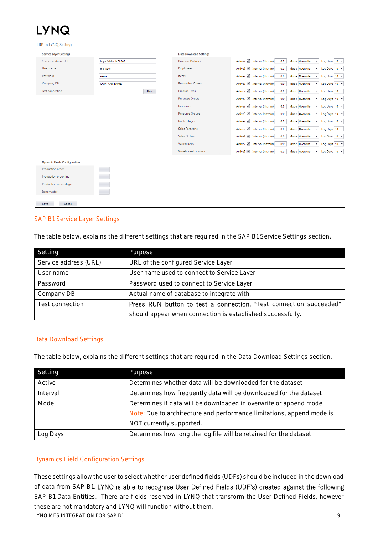| <b>LYNQ</b>                         |                       |                               |                                                       |                                      |
|-------------------------------------|-----------------------|-------------------------------|-------------------------------------------------------|--------------------------------------|
| <b>ERP to LYNQ Settings</b>         |                       |                               |                                                       |                                      |
| <b>Service Layer Settings</b>       |                       | <b>Data Download Settings</b> |                                                       |                                      |
| Service address (URL)               | https://sid-hdb:50000 | <b>Business Partners</b>      | Active? / Interval (hh:mm)<br>0:01                    | Mode Overwrite<br>Log Days 10 +<br>۰ |
| User name                           | manager               | Employees                     | Active? / Interval (hh:mm)<br>0:01                    | Mode Overwrite<br>Log Days 10 +      |
| Password                            |                       | Items                         | Active? $\sqrt{\phantom{a}}$ Interval (hh:mm)<br>0:01 | Mode Overwrite<br>Log Days 10 +      |
| Company DB                          | <b>COMPANY NAME</b>   | <b>Production Orders</b>      | Active? M Interval (hh:mm)<br>0:01                    | Mode Overwrite<br>Log Days 10 +      |
| <b>Test connection</b>              | Run                   | <b>Product Trees</b>          | Active? $\sqrt{\phantom{a}}$ Interval (hh:mm)<br>0:01 | Mode Overwrite<br>Log Days 10 +      |
|                                     |                       | <b>Purchase Orders</b>        | Active? / Interval (hh:mm)<br>0:01                    | Mode Overwrite<br>Log Days 10 +      |
|                                     |                       | Resources                     | Active? / Interval (hh:mm)<br>0:01                    | Mode Overwrite<br>Log Days 10 +      |
|                                     |                       | <b>Resource Groups</b>        | Active? $\sqrt{\phantom{a}}$ Interval (hh:mm)<br>0:01 | Mode Overwrite<br>Log Days 10 +      |
|                                     |                       | Route Stages                  | Active? / Interval (hh:mm)<br>0:01                    | Mode Overwrite<br>Log Days 10 +      |
|                                     |                       | <b>Sales Forecasts</b>        | Active? / Interval (hh:mm)<br>0:01                    | Mode Overwrite<br>Log Days 10 +      |
|                                     |                       | <b>Sales Orders</b>           | Active? M Interval (hh:mm)<br>0:01                    | Log Days 10 +<br>Mode Overwrite      |
|                                     |                       | Warehouses                    | Active? √ Interval (hh:mm)<br>0:01                    | Log Days 10 +<br>Mode Overwrite      |
|                                     |                       | <b>Warehouse Locations</b>    | Active? $\sqrt{\phantom{a}}$ Interval (hh:mm)<br>0:01 | Mode Overwrite<br>Log Days 10 +      |
| <b>Dynamic Fields Configuration</b> |                       |                               |                                                       |                                      |
| Production order                    | <b>Sales</b>          |                               |                                                       |                                      |
| Production order line               | $\Delta\omega$ .      |                               |                                                       |                                      |
| Production order stage              | $\sim 10^{-1}$        |                               |                                                       |                                      |
| Item master                         | $\sim 10^{-1}$        |                               |                                                       |                                      |
| Save<br>Cancel                      |                       |                               |                                                       |                                      |

### SAP B1 Service Layer Settings

The table below, explains the different settings that are required in the SAP B1 Service Settings section.

| Setting               | Purpose                                                            |
|-----------------------|--------------------------------------------------------------------|
| Service address (URL) | URL of the configured Service Layer                                |
| User name             | User name used to connect to Service Layer                         |
| Password              | Password used to connect to Service Layer                          |
| Company DB            | Actual name of database to integrate with                          |
| Test connection       | Press RUN button to test a connection. "Test connection succeeded" |
|                       | should appear when connection is established successfully.         |

### Data Download Settings

The table below, explains the different settings that are required in the Data Download Settings section.

| Setting  | Purpose                                                               |
|----------|-----------------------------------------------------------------------|
| Active   | Determines whether data will be downloaded for the dataset            |
| Interval | Determines how frequently data will be downloaded for the dataset     |
| Mode     | Determines if data will be downloaded in overwrite or append mode.    |
|          | Note: Due to architecture and performance limitations, append mode is |
|          | NOT currently supported.                                              |
| Log Days | Determines how long the log file will be retained for the dataset     |

### Dynamics Field Configuration Settings

LYNQ MES INTEGRATION FOR SAP B1 9 These settings allow the user to select whether user defined fields (UDFs) should be included in the download of data from SAP B1. LYNQ is able to recognise User Defined Fields (UDF's) created against the following SAP B1 Data Entities. There are fields reserved in LYNQ that transform the User Defined Fields, however these are not mandatory and LYNQ will function without them.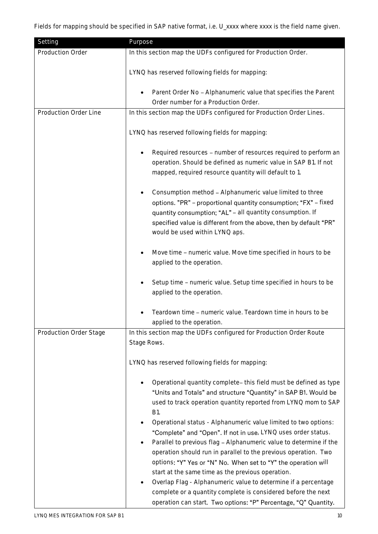| Setting                | Purpose                                                                                                                                                                                                                                                                                                                                                                                                                                                                                                                                                                                                                                                                                                                                                                                                                        |
|------------------------|--------------------------------------------------------------------------------------------------------------------------------------------------------------------------------------------------------------------------------------------------------------------------------------------------------------------------------------------------------------------------------------------------------------------------------------------------------------------------------------------------------------------------------------------------------------------------------------------------------------------------------------------------------------------------------------------------------------------------------------------------------------------------------------------------------------------------------|
| Production Order       | In this section map the UDFs configured for Production Order.                                                                                                                                                                                                                                                                                                                                                                                                                                                                                                                                                                                                                                                                                                                                                                  |
|                        | LYNQ has reserved following fields for mapping:                                                                                                                                                                                                                                                                                                                                                                                                                                                                                                                                                                                                                                                                                                                                                                                |
|                        | Parent Order No - Alphanumeric value that specifies the Parent<br>Order number for a Production Order.                                                                                                                                                                                                                                                                                                                                                                                                                                                                                                                                                                                                                                                                                                                         |
| Production Order Line  | In this section map the UDFs configured for Production Order Lines.                                                                                                                                                                                                                                                                                                                                                                                                                                                                                                                                                                                                                                                                                                                                                            |
|                        | LYNQ has reserved following fields for mapping:                                                                                                                                                                                                                                                                                                                                                                                                                                                                                                                                                                                                                                                                                                                                                                                |
|                        | Required resources - number of resources required to perform an<br>operation. Should be defined as numeric value in SAP B1. If not<br>mapped, required resource quantity will default to 1.                                                                                                                                                                                                                                                                                                                                                                                                                                                                                                                                                                                                                                    |
|                        | Consumption method - Alphanumeric value limited to three<br>options. "PR" - proportional quantity consumption; "FX" - fixed<br>quantity consumption; "AL" - all quantity consumption. If<br>specified value is different from the above, then by default "PR"<br>would be used within LYNQ aps.                                                                                                                                                                                                                                                                                                                                                                                                                                                                                                                                |
|                        | Move time - numeric value. Move time specified in hours to be<br>applied to the operation.                                                                                                                                                                                                                                                                                                                                                                                                                                                                                                                                                                                                                                                                                                                                     |
|                        | Setup time - numeric value. Setup time specified in hours to be<br>applied to the operation.                                                                                                                                                                                                                                                                                                                                                                                                                                                                                                                                                                                                                                                                                                                                   |
|                        | Teardown time - numeric value. Teardown time in hours to be<br>applied to the operation.                                                                                                                                                                                                                                                                                                                                                                                                                                                                                                                                                                                                                                                                                                                                       |
| Production Order Stage | In this section map the UDFs configured for Production Order Route<br>Stage Rows.                                                                                                                                                                                                                                                                                                                                                                                                                                                                                                                                                                                                                                                                                                                                              |
|                        | LYNQ has reserved following fields for mapping:                                                                                                                                                                                                                                                                                                                                                                                                                                                                                                                                                                                                                                                                                                                                                                                |
|                        | Operational quantity complete- this field must be defined as type<br>"Units and Totals" and structure "Quantity" in SAP B1. Would be<br>used to track operation quantity reported from LYNQ mom to SAP<br><b>B1.</b><br>Operational status - Alphanumeric value limited to two options:<br>"Complete" and "Open". If not in use, LYNQ uses order status.<br>Parallel to previous flag - Alphanumeric value to determine if the<br>operation should run in parallel to the previous operation. Two<br>options: "Y" Yes or "N" No. When set to "Y" the operation will<br>start at the same time as the previous operation.<br>Overlap Flag - Alphanumeric value to determine if a percentage<br>complete or a quantity complete is considered before the next<br>operation can start. Two options: "P" Percentage, "Q" Quantity. |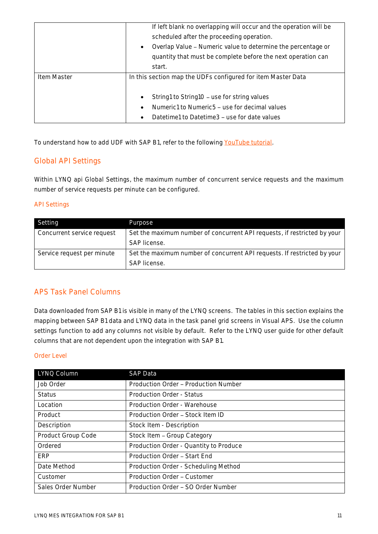|             | If left blank no overlapping will occur and the operation will be         |
|-------------|---------------------------------------------------------------------------|
|             | scheduled after the proceeding operation.                                 |
|             | Overlap Value – Numeric value to determine the percentage or<br>$\bullet$ |
|             | quantity that must be complete before the next operation can              |
|             | start.                                                                    |
|             |                                                                           |
| Item Master | In this section map the UDFs configured for item Master Data              |
|             |                                                                           |
|             | String1 to String10 - use for string values<br>$\bullet$                  |
|             | Numeric1 to Numeric5 – use for decimal values<br>$\bullet$                |

To understand how to add UDF with SAP B1, refer to the following [YouTube tutorial.](https://www.youtube.com/watch?v=JAVPHWrfaHs)

# Global API Settings

Within LYNQ api Global Settings, the maximum number of concurrent service requests and the maximum number of service requests per minute can be configured.

### API Settings

| Setting                    | Purpose                                                                  |
|----------------------------|--------------------------------------------------------------------------|
| Concurrent service request | Set the maximum number of concurrent API requests, if restricted by your |
|                            | SAP license.                                                             |
| Service request per minute | Set the maximum number of concurrent API requests. If restricted by your |
|                            | SAP license.                                                             |

### APS Task Panel Columns

Data downloaded from SAP B1 is visible in many of the LYNQ screens. The tables in this section explains the mapping between SAP B1 data and LYNQ data in the task panel grid screens in Visual APS. Use the column settings function to add any columns not visible by default. Refer to the LYNQ user guide for other default columns that are not dependent upon the integration with SAP B1.

### Order Level

| LYNQ Column        | <b>SAP Data</b>                        |
|--------------------|----------------------------------------|
| Job Order          | Production Order - Production Number   |
| <b>Status</b>      | Production Order - Status              |
| Location           | Production Order - Warehouse           |
| Product            | Production Order - Stock Item ID       |
| Description        | Stock Item - Description               |
| Product Group Code | Stock Item - Group Category            |
| Ordered            | Production Order - Quantity to Produce |
| ERP                | Production Order - Start End           |
| Date Method        | Production Order - Scheduling Method   |
| Customer           | Production Order - Customer            |
| Sales Order Number | Production Order - SO Order Number     |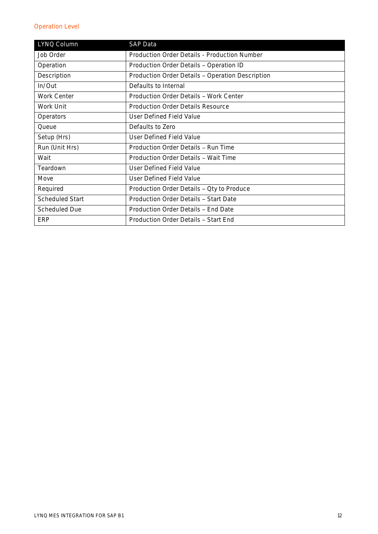# Operation Level

| LYNQ Column            | <b>SAP Data</b>                                  |
|------------------------|--------------------------------------------------|
| Job Order              | Production Order Details - Production Number     |
| Operation              | Production Order Details - Operation ID          |
| Description            | Production Order Details - Operation Description |
| In/Out                 | Defaults to Internal                             |
| Work Center            | Production Order Details - Work Center           |
| Work Unit              | Production Order Details Resource                |
| Operators              | User Defined Field Value                         |
| Oueue                  | Defaults to Zero                                 |
| Setup (Hrs)            | User Defined Field Value                         |
| Run (Unit Hrs)         | Production Order Details - Run Time              |
| Wait                   | Production Order Details - Wait Time             |
| Teardown               | User Defined Field Value                         |
| Move                   | User Defined Field Value                         |
| Required               | Production Order Details - Qty to Produce        |
| <b>Scheduled Start</b> | Production Order Details - Start Date            |
| Scheduled Due          | Production Order Details - End Date              |
| <b>ERP</b>             | Production Order Details - Start End             |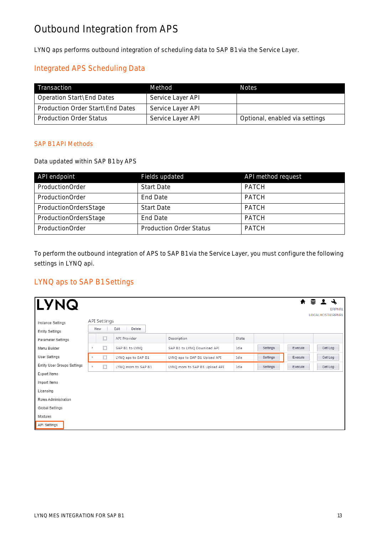# Outbound Integration from APS

LYNQ aps performs outbound integration of scheduling data to SAP B1 via the Service Layer.

# Integrated APS Scheduling Data

| Transaction                      | Method            | <b>Notes</b>                   |
|----------------------------------|-------------------|--------------------------------|
| Operation Start\End Dates        | Service Layer API |                                |
| Production Order Start\End Dates | Service Layer API |                                |
| <b>Production Order Status</b>   | Service Layer API | Optional, enabled via settings |

### SAP B1 API Methods

Data updated within SAP B1 by APS

| API endpoint          | Fields updated                 | API method request |
|-----------------------|--------------------------------|--------------------|
| ProductionOrder       | <b>Start Date</b>              | <b>PATCH</b>       |
| ProductionOrder       | End Date                       | <b>PATCH</b>       |
| ProductionOrdersStage | <b>Start Date</b>              | <b>PATCH</b>       |
| ProductionOrdersStage | End Date                       | <b>PATCH</b>       |
| ProductionOrder       | <b>Production Order Status</b> | <b>PATCH</b>       |

To perform the outbound integration of APS to SAP B1 via the Service Layer, you must configure the following settings in LYNQ api.

# LYNQ aps to SAP B1 Settings

| <b>LYNQ</b>                                 |                            |                                |                                            |               |          |         | $\blacklozenge$ 2 4<br><b>ERPNRL</b> |
|---------------------------------------------|----------------------------|--------------------------------|--------------------------------------------|---------------|----------|---------|--------------------------------------|
| Instance Settings<br><b>Entity Settings</b> | <b>API Settings</b><br>New | Edit<br>Delete                 |                                            |               |          |         | <b>LOCALHOST\ERPNRL</b>              |
| Parameter Settings<br>Menu Builder          | □<br>□                     | API Provider<br>SAP B1 to LYNQ | Description<br>SAP B1 to LYNQ Download API | State<br>Idle | Settings | Execute | Get Log                              |
| User Settings                               | □                          | LYNQ aps to SAP B1             | LYNQ aps to SAP B1 Upload API              | Idle          | Settings | Execute | Get Log                              |
| Entity User Groups Settings                 | $\Box$                     | LYNQ mom to SAP B1             | LYNQ mom to SAP B1 Upload API              | Idle          | Settings | Execute | Get Log                              |
| Export Items<br>Import Items                |                            |                                |                                            |               |          |         |                                      |
| Licensing<br>Roles Administration           |                            |                                |                                            |               |          |         |                                      |
| Global Settings                             |                            |                                |                                            |               |          |         |                                      |
| Modules                                     |                            |                                |                                            |               |          |         |                                      |
| API Settings                                |                            |                                |                                            |               |          |         |                                      |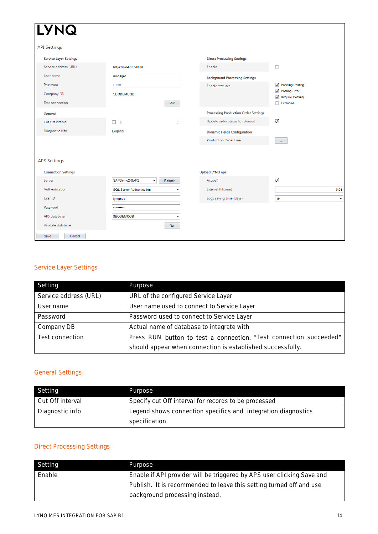| <b>LYNQ</b>                   |                                                               |                                             |                                  |
|-------------------------------|---------------------------------------------------------------|---------------------------------------------|----------------------------------|
| <b>API Settings</b>           |                                                               |                                             |                                  |
| <b>Service Layer Settings</b> |                                                               | <b>Direct Processing Settings</b>           |                                  |
| Service address (URL)         | https://sid-hdb:50000                                         | Enable                                      | $\Box$                           |
| User name                     | manager                                                       | <b>Background Processing Settings</b>       |                                  |
| Password                      |                                                               | Enable statuses                             | Pending Posting                  |
| Company DB                    | <b>SBODEMOGB</b>                                              |                                             | Posting Error<br>Require Posting |
| Test connection               | Run                                                           |                                             | $\Box$ Excluded                  |
| General                       |                                                               | <b>Processing Production Order Settings</b> |                                  |
| Cut Off interval              | $\frac{\triangle}{\pi}$<br>$\overline{\phantom{a}}$<br>$\Box$ | Update order status to released             | $\blacktriangledown$             |
| Diagnostic info               | Legend                                                        | <b>Dynamic Fields Configuration</b>         |                                  |
|                               |                                                               | <b>Production Order Line</b>                | $\sim$                           |
|                               |                                                               |                                             |                                  |
| <b>APS Settings</b>           |                                                               |                                             |                                  |
| <b>Connection Settings</b>    |                                                               | <b>Upload LYNQ aps</b>                      |                                  |
| Server                        | SAPDemo2-SAP2<br>Refresh<br>۰                                 | Active?                                     | $\checkmark$                     |
| Authentication                | <b>SQL Server Authentication</b><br>$\overline{\phantom{a}}$  | Interval (hh:mm)                            | 0:01                             |
| User ID                       | lyngmes                                                       | Logs saving time (days)                     | 10<br>$\overline{\phantom{a}}$   |
| Password                      |                                                               |                                             |                                  |
| APS database                  | SBODEMOGB<br>٠                                                |                                             |                                  |
| Validate database             | Run                                                           |                                             |                                  |
| Save<br>Cancel                |                                                               |                                             |                                  |

# Service Layer Settings

| Setting               | Purpose                                                            |
|-----------------------|--------------------------------------------------------------------|
| Service address (URL) | URL of the configured Service Layer                                |
| User name             | User name used to connect to Service Layer                         |
| Password              | Password used to connect to Service Layer                          |
| Company DB            | Actual name of database to integrate with                          |
| Test connection       | Press RUN button to test a connection. "Test connection succeeded" |
|                       | should appear when connection is established successfully.         |

# General Settings

| Setting          | Purpose                                                                        |
|------------------|--------------------------------------------------------------------------------|
| Cut Off interval | Specify cut Off interval for records to be processed                           |
| Diagnostic info  | Legend shows connection specifics and integration diagnostics<br>specification |

# Direct Processing Settings

| Setting | Purpose                                                                |
|---------|------------------------------------------------------------------------|
| Enable  | Enable if API provider will be triggered by APS user clicking Save and |
|         | Publish. It is recommended to leave this setting turned off and use    |
|         | background processing instead.                                         |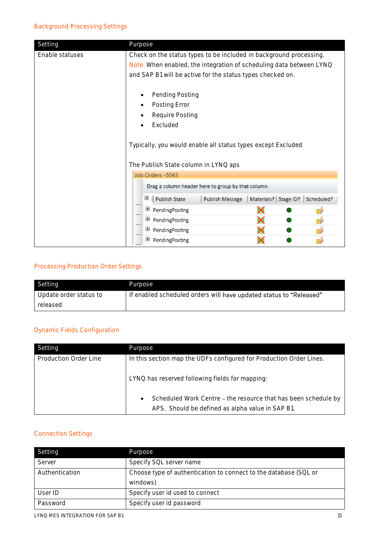| Setting         | Purpose                                                                                                                                   |  |  |
|-----------------|-------------------------------------------------------------------------------------------------------------------------------------------|--|--|
| Enable statuses | Check on the status types to be included in background processing.<br>Note: When enabled, the integration of scheduling data between LYNQ |  |  |
|                 | and SAP B1 will be active for the status types checked on.                                                                                |  |  |
|                 | Pending Posting<br>Posting Error                                                                                                          |  |  |
|                 | Require Posting                                                                                                                           |  |  |
|                 | Excluded                                                                                                                                  |  |  |
|                 | Typically, you would enable all status types except Excluded                                                                              |  |  |
|                 | The Publish State column in LYNQ aps                                                                                                      |  |  |
|                 | Job Orders -5043                                                                                                                          |  |  |
|                 | Drag a column header here to group by that column.                                                                                        |  |  |
|                 | $\vert \overline{=} \vert$ Publish State<br>Materials? Stage ID?<br>Publish Message<br>Scheduled?                                         |  |  |
|                 | PendingPosting                                                                                                                            |  |  |
|                 | ■ PendingPosting<br>Πŝ                                                                                                                    |  |  |
|                 | $+$<br>PendingPosting<br>ΠĖ                                                                                                               |  |  |
|                 | $+$<br>PendingPosting                                                                                                                     |  |  |

# Processing Production Order Settings

| Setting                | Purpose                                                            |
|------------------------|--------------------------------------------------------------------|
| Update order status to | If enabled scheduled orders will have updated status to "Released" |
| released               |                                                                    |

### Dynamic Fields Configuration

| Setting               | Purpose                                                                                                                |
|-----------------------|------------------------------------------------------------------------------------------------------------------------|
| Production Order Line | In this section map the UDFs configured for Production Order Lines.<br>LYNQ has reserved following fields for mapping: |
|                       | Scheduled Work Centre - the resource that has been schedule by<br>APS. Should be defined as alpha value in SAP B1.     |

# Connection Settings

| Setting        | Purpose                                                                      |  |  |
|----------------|------------------------------------------------------------------------------|--|--|
| Server         | Specify SQL server name                                                      |  |  |
| Authentication | Choose type of authentication to connect to the database (SQL or<br>windows) |  |  |
| User ID        | Specify user id used to connect                                              |  |  |
| Password       | Specify user id password                                                     |  |  |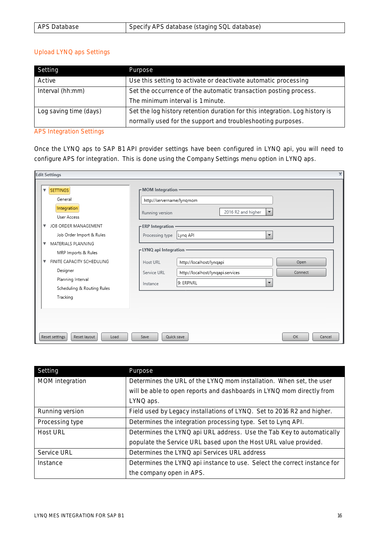| APS Database | Specify APS database (staging SQL database) |
|--------------|---------------------------------------------|
|              |                                             |

#### Upload LYNQ aps Settings

| Setting                                                                                               | Purpose                                                          |  |  |  |
|-------------------------------------------------------------------------------------------------------|------------------------------------------------------------------|--|--|--|
| Active                                                                                                | Use this setting to activate or deactivate automatic processing  |  |  |  |
| Interval (hh:mm)                                                                                      | Set the occurrence of the automatic transaction posting process. |  |  |  |
|                                                                                                       | The minimum interval is 1 minute.                                |  |  |  |
| Log saving time (days)<br>Set the log history retention duration for this integration. Log history is |                                                                  |  |  |  |
|                                                                                                       | normally used for the support and troubleshooting purposes.      |  |  |  |

# APS Integration Settings

Once the LYNQ aps to SAP B1 API provider settings have been configured in LYNQ api, you will need to configure APS for integration. This is done using the Company Settings menu option in LYNQ aps.

| $\mathbf x$<br><b>Edit Settings</b>                                                                                                                                                                                                                   |                                                                                                                                                                                                                                                                                         |  |  |  |
|-------------------------------------------------------------------------------------------------------------------------------------------------------------------------------------------------------------------------------------------------------|-----------------------------------------------------------------------------------------------------------------------------------------------------------------------------------------------------------------------------------------------------------------------------------------|--|--|--|
| <b>SETTINGS</b><br>▼<br>General<br>Integration<br>User Access                                                                                                                                                                                         | <b>PMOM</b> Integration<br>http://servername/lynqmom<br>2016 R2 and higher<br>$\overline{\phantom{a}}$<br>Running version                                                                                                                                                               |  |  |  |
| JOB ORDER MANAGEMENT<br>▼<br>Job Order Import & Rules<br>MATERIALS PLANNING<br>$\overline{\mathbf{v}}$<br>MRP Imports & Rules<br>FINITE CAPACITY SCHEDULING<br>$\overline{\mathbf{v}}$<br>Designer<br>Planning Interval<br>Scheduling & Routing Rules | <b>FERP</b> Integration<br>Processing type<br>Lynq API<br>$\overline{\phantom{a}}$<br><b>r</b> LYNQ api Integration<br>http://localhost/lynqapi<br>Host URL<br>Open<br>http://localhost/lynqapi.services<br>Service URL<br>Connect<br>9: ERPNRL<br>$\overline{\phantom{a}}$<br>Instance |  |  |  |
| Tracking<br>Reset settings<br>Reset layout<br>Load                                                                                                                                                                                                    | Quick save<br>OK<br>Save<br>Cancel                                                                                                                                                                                                                                                      |  |  |  |

| Setting         | Purpose                                                                  |
|-----------------|--------------------------------------------------------------------------|
| MOM integration | Determines the URL of the LYNQ mom installation. When set, the user      |
|                 | will be able to open reports and dashboards in LYNQ mom directly from    |
|                 | LYNQ aps.                                                                |
| Running version | Field used by Legacy installations of LYNQ. Set to 2016 R2 and higher.   |
| Processing type | Determines the integration processing type. Set to Lyng API.             |
| <b>Host URL</b> | Determines the LYNQ api URL address. Use the Tab Key to automatically    |
|                 | populate the Service URL based upon the Host URL value provided.         |
| Service URL     | Determines the LYNQ api Services URL address                             |
| Instance        | Determines the LYNQ api instance to use. Select the correct instance for |
|                 | the company open in APS.                                                 |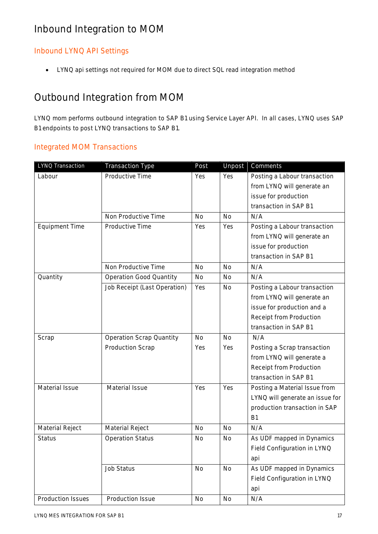# Inbound Integration to MOM

# Inbound LYNQ API Settings

• LYNQ api settings not required for MOM due to direct SQL read integration method

# Outbound Integration from MOM

LYNQ mom performs outbound integration to SAP B1 using Service Layer API. In all cases, LYNQ uses SAP B1 endpoints to post LYNQ transactions to SAP B1.

# Integrated MOM Transactions

| LYNQ Transaction      | <b>Transaction Type</b>         | Post      | Unpost    | Comments                        |
|-----------------------|---------------------------------|-----------|-----------|---------------------------------|
| Labour                | Productive Time                 | Yes       | Yes       | Posting a Labour transaction    |
|                       |                                 |           |           | from LYNQ will generate an      |
|                       |                                 |           |           | issue for production            |
|                       |                                 |           |           | transaction in SAP B1           |
|                       | Non Productive Time             | <b>No</b> | <b>No</b> | N/A                             |
| <b>Equipment Time</b> | Productive Time                 | Yes       | Yes       | Posting a Labour transaction    |
|                       |                                 |           |           | from LYNQ will generate an      |
|                       |                                 |           |           | issue for production            |
|                       |                                 |           |           | transaction in SAP B1           |
|                       | Non Productive Time             | <b>No</b> | <b>No</b> | N/A                             |
| Quantity              | <b>Operation Good Quantity</b>  | <b>No</b> | <b>No</b> | N/A                             |
|                       | Job Receipt (Last Operation)    | Yes       | <b>No</b> | Posting a Labour transaction    |
|                       |                                 |           |           | from LYNQ will generate an      |
|                       |                                 |           |           | issue for production and a      |
|                       |                                 |           |           | Receipt from Production         |
|                       |                                 |           |           | transaction in SAP B1           |
| Scrap                 | <b>Operation Scrap Quantity</b> | <b>No</b> | <b>No</b> | N/A                             |
|                       | <b>Production Scrap</b>         | Yes       | Yes       | Posting a Scrap transaction     |
|                       |                                 |           |           | from LYNQ will generate a       |
|                       |                                 |           |           | Receipt from Production         |
|                       |                                 |           |           | transaction in SAP B1           |
| Material Issue        | Material Issue                  | Yes       | Yes       | Posting a Material Issue from   |
|                       |                                 |           |           | LYNQ will generate an issue for |
|                       |                                 |           |           | production transaction in SAP   |
|                       |                                 |           |           | <b>B1</b>                       |
| Material Reject       | Material Reject                 | <b>No</b> | <b>No</b> | N/A                             |
| <b>Status</b>         | <b>Operation Status</b>         | <b>No</b> | No        | As UDF mapped in Dynamics       |
|                       |                                 |           |           | Field Configuration in LYNQ     |
|                       |                                 |           |           | api                             |
|                       | Job Status                      | No        | <b>No</b> | As UDF mapped in Dynamics       |
|                       |                                 |           |           | Field Configuration in LYNQ     |
|                       |                                 |           |           | api                             |
| Production Issues     | Production Issue                | <b>No</b> | No        | N/A                             |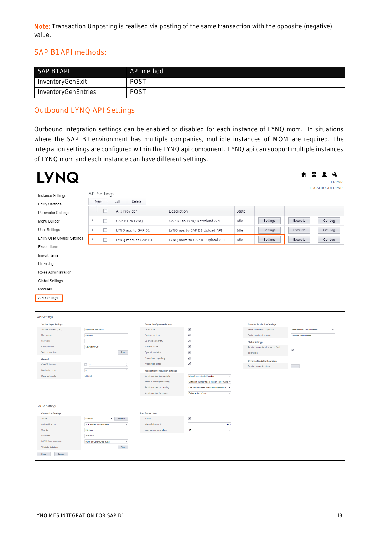Note: Transaction Unposting is realised via posting of the same transaction with the opposite (negative) value.

# SAP B1 API methods:

| SAP B1 API          | API method |
|---------------------|------------|
| InventoryGenExit    | POST       |
| InventoryGenEntries | POST       |

### Outbound LYNQ API Settings

Outbound integration settings can be enabled or disabled for each instance of LYNQ mom. In situations where the SAP B1 environment has multiple companies, multiple instances of MOM are required. The integration settings are configured within the LYNQ api component. LYNQ api can support multiple instances of LYNQ mom and each instance can have different settings.

| <b>LYNQ</b><br>Instance Settings<br><b>Entity Settings</b> | <b>API Settings</b><br>New       | Edit<br>Delete     |                                                     |             |                                                          |       |                                      |                            | रू<br>$\bullet$<br>ᇦ<br><b>ERPNRL</b><br>LOCALHOST\ERPNRL |
|------------------------------------------------------------|----------------------------------|--------------------|-----------------------------------------------------|-------------|----------------------------------------------------------|-------|--------------------------------------|----------------------------|-----------------------------------------------------------|
|                                                            | □                                | API Provider       |                                                     | Description |                                                          | State |                                      |                            |                                                           |
| Parameter Settings                                         |                                  |                    |                                                     |             |                                                          |       |                                      |                            |                                                           |
| Menu Builder                                               | $\mathbb{R}$<br>□                | SAP B1 to LYNQ     |                                                     |             | SAP B1 to LYNQ Download API                              | Idle  | Settings                             | Execute                    | Get Log                                                   |
| User Settings                                              | $\Box$<br>$\mathbb{R}$           | LYNQ aps to SAP B1 |                                                     |             | LYNQ aps to SAP B1 Upload API                            | Idle  | Settings                             | Execute                    | Get Log                                                   |
| Entity User Groups Settings                                | k<br>□                           | LYNQ mom to SAP B1 |                                                     |             | LYNQ mom to SAP B1 Upload API                            | Idle  | Settings                             | Execute                    | Get Log                                                   |
| Export Items                                               |                                  |                    |                                                     |             |                                                          |       |                                      |                            |                                                           |
| Import Items                                               |                                  |                    |                                                     |             |                                                          |       |                                      |                            |                                                           |
| Licensing                                                  |                                  |                    |                                                     |             |                                                          |       |                                      |                            |                                                           |
| Roles Administration                                       |                                  |                    |                                                     |             |                                                          |       |                                      |                            |                                                           |
|                                                            |                                  |                    |                                                     |             |                                                          |       |                                      |                            |                                                           |
| Global Settings                                            |                                  |                    |                                                     |             |                                                          |       |                                      |                            |                                                           |
| Modules                                                    |                                  |                    |                                                     |             |                                                          |       |                                      |                            |                                                           |
| <b>API Settings</b>                                        |                                  |                    |                                                     |             |                                                          |       |                                      |                            |                                                           |
|                                                            |                                  |                    |                                                     |             |                                                          |       |                                      |                            |                                                           |
| <b>API Settings</b>                                        |                                  |                    |                                                     |             |                                                          |       |                                      |                            |                                                           |
| <b>Service Layer Settings</b>                              |                                  |                    | <b>Transaction Types to Process</b>                 |             |                                                          |       | <b>Issue for Production Settings</b> |                            |                                                           |
| Service address (URL)                                      | https://sid-hdb:50000            |                    | Labor time                                          |             | ✓                                                        |       | Serial number to populate            | Manufacturer Serial Number | ٠                                                         |
| User name                                                  | manager                          |                    | Equipment time                                      |             | √                                                        |       | Serial number for range              | Defines start of range     | ٠                                                         |
| Password                                                   |                                  |                    | Operation quantity                                  |             | $\checkmark$                                             |       | <b>Status Settings</b>               |                            |                                                           |
| Company DB                                                 | <b>SBODEMOGB</b>                 |                    | Material issue                                      |             | √                                                        |       | Production order closure on final    | √                          |                                                           |
| Test connection                                            |                                  | Run                | Operation status                                    |             | $\checkmark$                                             |       | operation                            |                            |                                                           |
| General                                                    |                                  |                    | Production reporting                                |             | $\checkmark$                                             |       | <b>Dynamic Fields Configuration</b>  |                            |                                                           |
| Cut Off interval                                           | $\Box$ 0                         | ¢                  | Production scrap                                    |             | $\checkmark$                                             |       | Production order stage               |                            |                                                           |
| Decimals count                                             | $\pmb{\mathfrak{o}}$             | ÷                  | <b>Receipt from Production Settings</b>             |             |                                                          |       |                                      |                            |                                                           |
| Diagnostic info                                            | Legend                           |                    | Serial number to populate                           |             | Manufacturer Serial Number<br>$\cdot$                    |       |                                      |                            |                                                           |
|                                                            |                                  |                    | Batch number processing                             |             | Set batch number to production order numb *<br>$\ddot{}$ |       |                                      |                            |                                                           |
|                                                            |                                  |                    | Serial number processing<br>Serial number for range |             | Use serial number specified in transaction<br>٠          |       |                                      |                            |                                                           |
|                                                            |                                  |                    |                                                     |             | Defines start of range                                   |       |                                      |                            |                                                           |
| <b>MOM Settings</b>                                        |                                  |                    |                                                     |             |                                                          |       |                                      |                            |                                                           |
| <b>Connection Settings</b>                                 |                                  |                    | <b>Post Transactions</b>                            |             |                                                          |       |                                      |                            |                                                           |
| Server                                                     | localhost                        | $\star$ Refresh    | Active?                                             |             | $\checkmark$                                             |       |                                      |                            |                                                           |
| Authentication                                             | <b>SQL Server Authentication</b> | ٠                  | Interval (hh:mm)                                    |             | 0:02                                                     |       |                                      |                            |                                                           |
| User ID                                                    | thinklyng                        |                    | Logs saving time (days)                             |             | 10<br>Ψ                                                  |       |                                      |                            |                                                           |
| Password                                                   |                                  |                    |                                                     |             |                                                          |       |                                      |                            |                                                           |
| MOM Data database                                          | Mom_SBODEMOGB_Data               | $\ddot{}$          |                                                     |             |                                                          |       |                                      |                            |                                                           |
| Validate database                                          |                                  | Run                |                                                     |             |                                                          |       |                                      |                            |                                                           |
| Save<br>Cancel                                             |                                  |                    |                                                     |             |                                                          |       |                                      |                            |                                                           |
|                                                            |                                  |                    |                                                     |             |                                                          |       |                                      |                            |                                                           |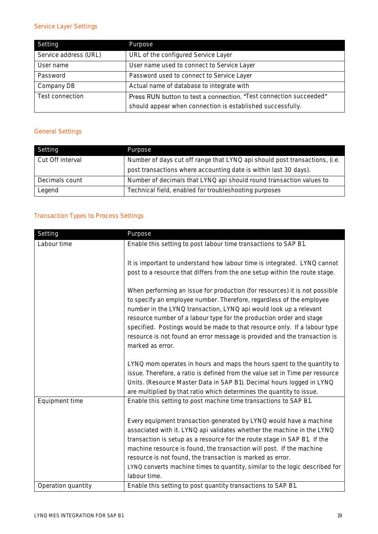# Service Layer Settings

| Setting               | Purpose                                                            |
|-----------------------|--------------------------------------------------------------------|
| Service address (URL) | URL of the configured Service Layer                                |
| User name             | User name used to connect to Service Layer                         |
| Password              | Password used to connect to Service Layer                          |
| Company DB            | Actual name of database to integrate with                          |
| Test connection       | Press RUN button to test a connection. "Test connection succeeded" |
|                       | should appear when connection is established successfully.         |

# General Settings

| Setting          | Purpose                                                                    |
|------------------|----------------------------------------------------------------------------|
| Cut Off interval | Number of days cut off range that LYNQ api should post transactions, (i.e. |
|                  | post transactions where accounting date is within last 30 days).           |
| Decimals count   | Number of decimals that LYNQ api should round transaction values to        |
| Legend           | Technical field, enabled for troubleshooting purposes                      |

# Transaction Types to Process Settings

| Setting            | Purpose                                                                                                                                                                                                                                                                                                                                                                                                                                                                      |
|--------------------|------------------------------------------------------------------------------------------------------------------------------------------------------------------------------------------------------------------------------------------------------------------------------------------------------------------------------------------------------------------------------------------------------------------------------------------------------------------------------|
| Labour time        | Enable this setting to post labour time transactions to SAP B1.                                                                                                                                                                                                                                                                                                                                                                                                              |
|                    | It is important to understand how labour time is integrated. LYNQ cannot<br>post to a resource that differs from the one setup within the route stage.                                                                                                                                                                                                                                                                                                                       |
|                    | When performing an issue for production (for resources) it is not possible<br>to specify an employee number. Therefore, regardless of the employee<br>number in the LYNQ transaction, LYNQ api would look up a relevant<br>resource number of a labour type for the production order and stage<br>specified. Postings would be made to that resource only. If a labour type<br>resource is not found an error message is provided and the transaction is<br>marked as error. |
|                    | LYNQ mom operates in hours and maps the hours spent to the quantity to<br>issue. Therefore, a ratio is defined from the value set in Time per resource<br>Units. (Resource Master Data in SAP B1). Decimal hours logged in LYNQ<br>are multiplied by that ratio which determines the quantity to issue.                                                                                                                                                                      |
| Equipment time     | Enable this setting to post machine time transactions to SAP B1.                                                                                                                                                                                                                                                                                                                                                                                                             |
|                    | Every equipment transaction generated by LYNQ would have a machine<br>associated with it. LYNQ api validates whether the machine in the LYNQ<br>transaction is setup as a resource for the route stage in SAP B1. If the<br>machine resource is found, the transaction will post. If the machine<br>resource is not found, the transaction is marked as error.<br>LYNQ converts machine times to quantity, similar to the logic described for<br>labour time.                |
| Operation quantity | Enable this setting to post quantity transactions to SAP B1.                                                                                                                                                                                                                                                                                                                                                                                                                 |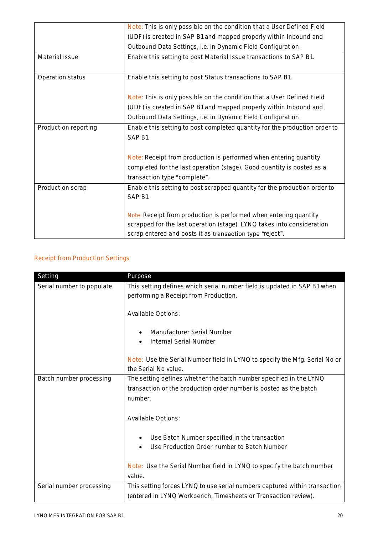|                      | Note: This is only possible on the condition that a User Defined Field     |
|----------------------|----------------------------------------------------------------------------|
|                      | (UDF) is created in SAP B1 and mapped properly within Inbound and          |
|                      | Outbound Data Settings, i.e. in Dynamic Field Configuration.               |
| Material issue       | Enable this setting to post Material Issue transactions to SAP B1.         |
|                      |                                                                            |
| Operation status     | Enable this setting to post Status transactions to SAP B1.                 |
|                      |                                                                            |
|                      | Note: This is only possible on the condition that a User Defined Field     |
|                      | (UDF) is created in SAP B1 and mapped properly within Inbound and          |
|                      | Outbound Data Settings, i.e. in Dynamic Field Configuration.               |
| Production reporting | Enable this setting to post completed quantity for the production order to |
|                      | SAP B1.                                                                    |
|                      |                                                                            |
|                      | Note: Receipt from production is performed when entering quantity          |
|                      | completed for the last operation (stage). Good quantity is posted as a     |
|                      | transaction type "complete".                                               |
| Production scrap     | Enable this setting to post scrapped quantity for the production order to  |
|                      | SAP B1.                                                                    |
|                      |                                                                            |
|                      | Note: Receipt from production is performed when entering quantity          |
|                      | scrapped for the last operation (stage). LYNQ takes into consideration     |
|                      | scrap entered and posts it as transaction type "reject".                   |

# Receipt from Production Settings

| Setting                   | Purpose                                                                    |
|---------------------------|----------------------------------------------------------------------------|
| Serial number to populate | This setting defines which serial number field is updated in SAP B1 when   |
|                           | performing a Receipt from Production.                                      |
|                           |                                                                            |
|                           | Available Options:                                                         |
|                           |                                                                            |
|                           | Manufacturer Serial Number                                                 |
|                           | Internal Serial Number                                                     |
|                           |                                                                            |
|                           | Note: Use the Serial Number field in LYNQ to specify the Mfg. Serial No or |
|                           | the Serial No value.                                                       |
| Batch number processing   | The setting defines whether the batch number specified in the LYNQ         |
|                           | transaction or the production order number is posted as the batch          |
|                           | number.                                                                    |
|                           |                                                                            |
|                           | Available Options:                                                         |
|                           |                                                                            |
|                           | Use Batch Number specified in the transaction                              |
|                           | Use Production Order number to Batch Number                                |
|                           |                                                                            |
|                           | Note: Use the Serial Number field in LYNQ to specify the batch number      |
|                           | value.                                                                     |
| Serial number processing  | This setting forces LYNQ to use serial numbers captured within transaction |
|                           | (entered in LYNQ Workbench, Timesheets or Transaction review).             |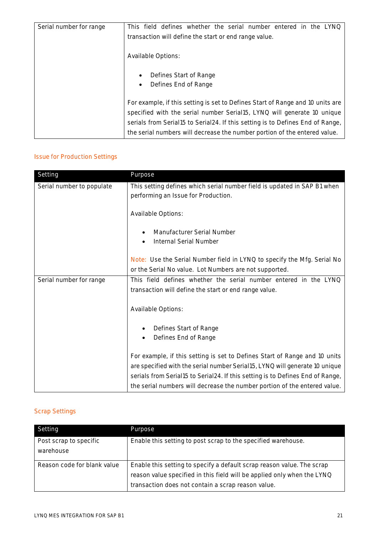| Serial number for range | This field defines whether the serial number entered in the LYNQ                                                                                                                                                                                                                                                         |
|-------------------------|--------------------------------------------------------------------------------------------------------------------------------------------------------------------------------------------------------------------------------------------------------------------------------------------------------------------------|
|                         | transaction will define the start or end range value.                                                                                                                                                                                                                                                                    |
|                         | Available Options:                                                                                                                                                                                                                                                                                                       |
|                         | Defines Start of Range<br>$\bullet$<br>Defines End of Range<br>$\bullet$                                                                                                                                                                                                                                                 |
|                         | For example, if this setting is set to Defines Start of Range and 10 units are<br>specified with the serial number Serial15, LYNQ will generate 10 unique<br>serials from Serial15 to Serial24. If this setting is to Defines End of Range,<br>the serial numbers will decrease the number portion of the entered value. |

# Issue for Production Settings

| Setting                   | Purpose                                                                                                         |
|---------------------------|-----------------------------------------------------------------------------------------------------------------|
| Serial number to populate | This setting defines which serial number field is updated in SAP B1 when<br>performing an Issue for Production. |
|                           | Available Options:                                                                                              |
|                           | Manufacturer Serial Number                                                                                      |
|                           | Internal Serial Number<br>٠                                                                                     |
|                           | Note: Use the Serial Number field in LYNQ to specify the Mfg. Serial No                                         |
|                           | or the Serial No value. Lot Numbers are not supported.                                                          |
| Serial number for range   | This field defines whether the serial number entered in the LYNQ                                                |
|                           | transaction will define the start or end range value.                                                           |
|                           | Available Options:                                                                                              |
|                           | Defines Start of Range                                                                                          |
|                           | Defines End of Range                                                                                            |
|                           | For example, if this setting is set to Defines Start of Range and 10 units                                      |
|                           | are specified with the serial number Serial15, LYNQ will generate 10 unique                                     |
|                           | serials from Serial15 to Serial24. If this setting is to Defines End of Range,                                  |
|                           | the serial numbers will decrease the number portion of the entered value.                                       |

# Scrap Settings

| Setting                             | Purpose                                                                                                                                                                                                 |
|-------------------------------------|---------------------------------------------------------------------------------------------------------------------------------------------------------------------------------------------------------|
| Post scrap to specific<br>warehouse | Enable this setting to post scrap to the specified warehouse.                                                                                                                                           |
| Reason code for blank value         | Enable this setting to specify a default scrap reason value. The scrap<br>reason value specified in this field will be applied only when the LYNQ<br>transaction does not contain a scrap reason value. |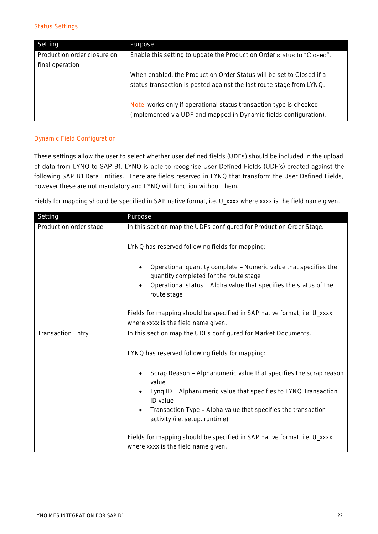#### Status Settings

| Setting                     | Purpose                                                                |
|-----------------------------|------------------------------------------------------------------------|
| Production order closure on | Enable this setting to update the Production Order status to "Closed". |
| final operation             |                                                                        |
|                             | When enabled, the Production Order Status will be set to Closed if a   |
|                             | status transaction is posted against the last route stage from LYNQ.   |
|                             |                                                                        |
|                             | Note: works only if operational status transaction type is checked     |
|                             | (implemented via UDF and mapped in Dynamic fields configuration).      |

### Dynamic Field Configuration

These settings allow the user to select whether user defined fields (UDFs) should be included in the upload of data from LYNQ to SAP B1. LYNQ is able to recognise User Defined Fields (UDF's) created against the following SAP B1 Data Entities. There are fields reserved in LYNQ that transform the User Defined Fields, however these are not mandatory and LYNQ will function without them.

Fields for mapping should be specified in SAP native format, i.e. U\_xxxx where xxxx is the field name given.

| Setting                  | Purpose                                                                                                         |  |
|--------------------------|-----------------------------------------------------------------------------------------------------------------|--|
| Production order stage   | In this section map the UDFs configured for Production Order Stage.                                             |  |
|                          | LYNQ has reserved following fields for mapping:                                                                 |  |
|                          | Operational quantity complete - Numeric value that specifies the<br>quantity completed for the route stage      |  |
|                          | Operational status - Alpha value that specifies the status of the<br>route stage                                |  |
|                          | Fields for mapping should be specified in SAP native format, i.e. U_xxxx                                        |  |
|                          | where xxxx is the field name given.                                                                             |  |
| <b>Transaction Entry</b> | In this section map the UDFs configured for Market Documents.                                                   |  |
|                          | LYNQ has reserved following fields for mapping:                                                                 |  |
|                          | Scrap Reason - Alphanumeric value that specifies the scrap reason<br>value                                      |  |
|                          | Lynq ID - Alphanumeric value that specifies to LYNQ Transaction<br>ID value                                     |  |
|                          | Transaction Type - Alpha value that specifies the transaction<br>activity (i.e. setup. runtime)                 |  |
|                          | Fields for mapping should be specified in SAP native format, i.e. U_xxxx<br>where xxxx is the field name given. |  |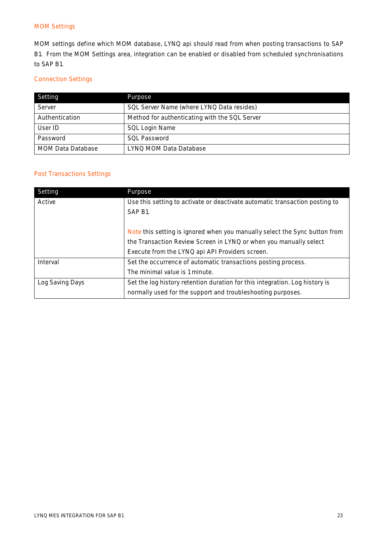#### MOM Settings

MOM settings define which MOM database, LYNQ api should read from when posting transactions to SAP B1. From the MOM Settings area, integration can be enabled or disabled from scheduled synchronisations to SAP B1.

### Connection Settings

| Setting                  | Purpose                                       |
|--------------------------|-----------------------------------------------|
| Server                   | SQL Server Name (where LYNQ Data resides)     |
| Authentication           | Method for authenticating with the SQL Server |
| User ID                  | SQL Login Name                                |
| Password                 | <b>SOL Password</b>                           |
| <b>MOM Data Database</b> | LYNO MOM Data Database                        |

### Post Transactions Settings

| Setting         | Purpose                                                                     |
|-----------------|-----------------------------------------------------------------------------|
| Active          | Use this setting to activate or deactivate automatic transaction posting to |
|                 | SAP B1.                                                                     |
|                 |                                                                             |
|                 | Note this setting is ignored when you manually select the Sync button from  |
|                 | the Transaction Review Screen in LYNQ or when you manually select           |
|                 | Execute from the LYNQ api API Providers screen.                             |
| Interval        | Set the occurrence of automatic transactions posting process.               |
|                 | The minimal value is 1 minute.                                              |
| Log Saving Days | Set the log history retention duration for this integration. Log history is |
|                 | normally used for the support and troubleshooting purposes.                 |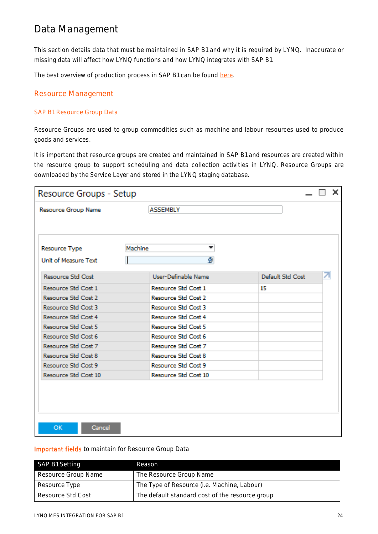# Data Management

This section details data that must be maintained in SAP B1 and why it is required by LYNQ. Inaccurate or missing data will affect how LYNQ functions and how LYNQ integrates with SAP B1.

The best overview of production process in SAP B1 can be found [here.](https://www.youtube.com/playlist?app=desktop&list=PLMdHXbewhZ2SF-qAE2TsIdm2fXHmNF4at)

### Resource Management

### SAP B1 Resource Group Data

Resource Groups are used to group commodities such as machine and labour resources used to produce goods and services.

It is important that resource groups are created and maintained in SAP B1 and resources are created within the resource group to support scheduling and data collection activities in LYNQ. Resource Groups are downloaded by the Service Layer and stored in the LYNQ staging database.

| Resource Group Name<br><b>ASSEMBLY</b><br>Machine<br>▼<br>Resource Type<br>φ<br>Unit of Measure Text<br>↗<br>User-Definable Name<br>Default Std Cost<br><b>Resource Std Cost</b><br>Resource Std Cost 1<br>Resource Std Cost 1<br>15<br>Resource Std Cost 2<br>Resource Std Cost 2 | Resource Groups - Setup |                     | × |
|------------------------------------------------------------------------------------------------------------------------------------------------------------------------------------------------------------------------------------------------------------------------------------|-------------------------|---------------------|---|
|                                                                                                                                                                                                                                                                                    |                         |                     |   |
|                                                                                                                                                                                                                                                                                    |                         |                     |   |
|                                                                                                                                                                                                                                                                                    |                         |                     |   |
|                                                                                                                                                                                                                                                                                    |                         |                     |   |
|                                                                                                                                                                                                                                                                                    |                         |                     |   |
|                                                                                                                                                                                                                                                                                    |                         |                     |   |
|                                                                                                                                                                                                                                                                                    |                         |                     |   |
|                                                                                                                                                                                                                                                                                    |                         |                     |   |
|                                                                                                                                                                                                                                                                                    |                         |                     |   |
|                                                                                                                                                                                                                                                                                    | Resource Std Cost 3     | Resource Std Cost 3 |   |
| Resource Std Cost 4<br>Resource Std Cost 4                                                                                                                                                                                                                                         |                         |                     |   |
| Resource Std Cost 5<br>Resource Std Cost 5                                                                                                                                                                                                                                         |                         |                     |   |
| Resource Std Cost 6<br>Resource Std Cost 6                                                                                                                                                                                                                                         |                         |                     |   |
| Resource Std Cost 7<br>Resource Std Cost 7                                                                                                                                                                                                                                         |                         |                     |   |
| Resource Std Cost 8<br>Resource Std Cost 8                                                                                                                                                                                                                                         |                         |                     |   |
| Resource Std Cost 9<br>Resource Std Cost 9                                                                                                                                                                                                                                         |                         |                     |   |
| Resource Std Cost 10<br>Resource Std Cost 10                                                                                                                                                                                                                                       |                         |                     |   |
|                                                                                                                                                                                                                                                                                    |                         |                     |   |
|                                                                                                                                                                                                                                                                                    |                         |                     |   |
|                                                                                                                                                                                                                                                                                    |                         |                     |   |
|                                                                                                                                                                                                                                                                                    |                         |                     |   |
|                                                                                                                                                                                                                                                                                    |                         |                     |   |
| Cancel<br>OK.                                                                                                                                                                                                                                                                      |                         |                     |   |

#### Important fields to maintain for Resource Group Data

| SAP B1 Setting      | Reason                                          |
|---------------------|-------------------------------------------------|
| Resource Group Name | The Resource Group Name                         |
| Resource Type       | The Type of Resource (i.e. Machine, Labour)     |
| Resource Std Cost   | The default standard cost of the resource group |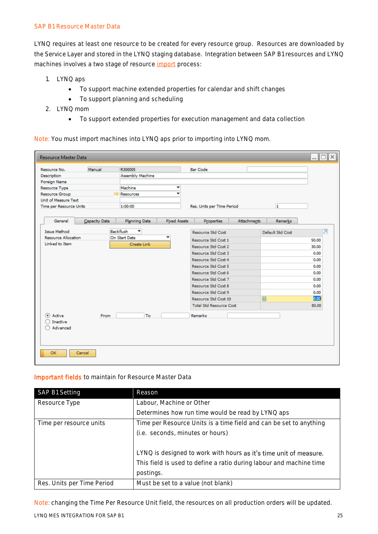#### SAP B1 Resource Master Data

LYNQ requires at least one resource to be created for every resource group. Resources are downloaded by the Service Layer and stored in the LYNQ staging database. Integration between SAP B1 resources and LYNQ machines involves a two stage of resource [import](https://support.lynqmes.com/en-us/knowledgebase/article/KA-01709) process:

- 1. LYNQ aps
	- To support machine extended properties for calendar and shift changes
	- To support planning and scheduling
- 2. LYNQ mom
	- To support extended properties for execution management and data collection

#### Note: You must import machines into LYNQ aps prior to importing into LYNQ mom.

| <b>Resource Master Data</b>                       |               |                                 |                     |                                |                    |                  |       | ⊪×<br>n |
|---------------------------------------------------|---------------|---------------------------------|---------------------|--------------------------------|--------------------|------------------|-------|---------|
| Resource No.                                      | Manual        | R300005                         |                     | Bar Code                       |                    |                  |       |         |
| Description                                       |               | Assembly Machine                |                     |                                |                    |                  |       |         |
| Foreign Name                                      |               |                                 |                     |                                |                    |                  |       |         |
| Resource Type                                     |               | Machine                         | ▼                   |                                |                    |                  |       |         |
| Resource Group                                    |               | Resources                       | ÷                   |                                |                    |                  |       |         |
| Unit of Measure Text                              |               |                                 |                     |                                |                    |                  |       |         |
| Time per Resource Units                           |               | 1:00:00                         |                     | Res. Units per Time Period     |                    | 1                |       |         |
|                                                   |               |                                 |                     |                                |                    |                  |       |         |
| General                                           | Capacity Data | Planning Data                   | <b>Fixed Assets</b> | <b>Properties</b>              | <b>Attachments</b> | <b>Remarks</b>   |       |         |
|                                                   |               |                                 |                     |                                |                    |                  |       |         |
| <b>Issue Method</b><br><b>Resource Allocation</b> |               | Backflush<br>▼<br>On Start Date | ٠                   | Resource Std Cost              |                    | Default Std Cost |       | ヵ       |
| Linked to Item                                    |               | Create Link                     |                     | Resource Std Cost 1            |                    |                  | 50.00 |         |
|                                                   |               |                                 |                     | Resource Std Cost 2            |                    |                  | 30.00 |         |
|                                                   |               |                                 |                     | Resource Std Cost 3            |                    |                  | 0.00  |         |
|                                                   |               |                                 |                     | Resource Std Cost 4            |                    |                  | 0.00  |         |
|                                                   |               |                                 |                     | Resource Std Cost 5            |                    |                  | 0.00  |         |
|                                                   |               |                                 |                     | Resource Std Cost 6            |                    |                  | 0.00  |         |
|                                                   |               |                                 |                     | Resource Std Cost 7            |                    |                  | 0.00  |         |
|                                                   |               |                                 |                     | Resource Std Cost 8            |                    |                  | 0.00  |         |
|                                                   |               |                                 |                     | Resource Std Cost 9            |                    |                  | 0.00  |         |
|                                                   |               |                                 |                     | Resource Std Cost 10           |                    | 圖                | lo.od |         |
|                                                   |               |                                 |                     | <b>Total Std Resource Cost</b> |                    |                  | 80.00 |         |
| (e) Active                                        |               | To                              |                     | <b>Remarks</b>                 |                    |                  |       |         |
| Inactive                                          | From          |                                 |                     |                                |                    |                  |       |         |
| Advanced                                          |               |                                 |                     |                                |                    |                  |       |         |
|                                                   |               |                                 |                     |                                |                    |                  |       |         |
|                                                   |               |                                 |                     |                                |                    |                  |       |         |
|                                                   |               |                                 |                     |                                |                    |                  |       |         |
| <b>OK</b>                                         | Cancel        |                                 |                     |                                |                    |                  |       |         |
|                                                   |               |                                 |                     |                                |                    |                  |       |         |

#### Important fields to maintain for Resource Master Data

| SAP B1 Setting             | Reason                                                              |
|----------------------------|---------------------------------------------------------------------|
| Resource Type              | Labour, Machine or Other                                            |
|                            | Determines how run time would be read by LYNQ aps                   |
| Time per resource units    | Time per Resource Units is a time field and can be set to anything  |
|                            | (i.e. seconds, minutes or hours)                                    |
|                            |                                                                     |
|                            | LYNQ is designed to work with hours as it's time unit of measure.   |
|                            | This field is used to define a ratio during labour and machine time |
|                            | postings.                                                           |
| Res. Units per Time Period | Must be set to a value (not blank)                                  |

Note: changing the Time Per Resource Unit field, the resources on all production orders will be updated.

LYNQ MES INTEGRATION FOR SAP B1 25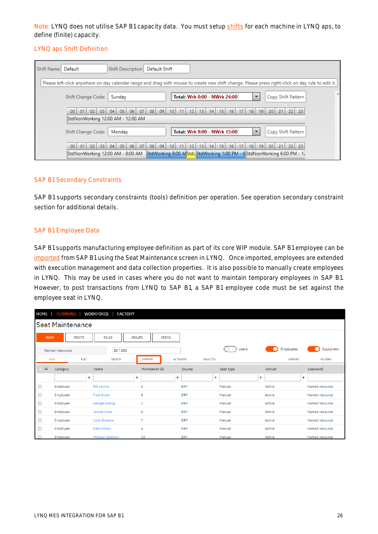Note: LYNQ does not utilise SAP B1 capacity data. You must setup [shifts](https://support.lynqmes.com/en-us/knowledgebase/article/KA-01602) for each machine in LYNQ aps, to define (finite) capacity.

#### LYNQ aps Shift Definition

| Default Shift<br>Default<br>Shift Name<br>Shift Description                                                                                                                                                                                                                   |  |
|-------------------------------------------------------------------------------------------------------------------------------------------------------------------------------------------------------------------------------------------------------------------------------|--|
| Please left-click anywhere on day calendar range and drag with mouse to create new shift change. Please press right-click on day rule to edit it.                                                                                                                             |  |
| Total: Wrk 0:00 - NWrk 24:00<br>Copy Shift Pattern<br>Shift Change Code:<br>Sunday                                                                                                                                                                                            |  |
| 08<br>07<br>09<br>17<br>20<br>02<br>05 <sub>1</sub><br>06<br>12<br>13<br>16<br>18<br>19<br>21<br>$22 \mid 23$<br>00<br>01<br>03<br>04<br>10 <sub>1</sub><br>11<br>15<br>14 <sub>1</sub><br>StdNonWorking 12:00 AM - 12:00 AM                                                  |  |
| Total: Wrk 9:00 - NWrk 15:00<br>Copy Shift Pattern<br>Shift Change Code:<br>Monday                                                                                                                                                                                            |  |
| 08<br>01<br>02<br>03<br>04<br>05 <sub>1</sub><br>06<br>07<br>09<br>17<br>18<br>19<br>20<br>21<br>$22 \mid 23$<br>00<br>10<br>12<br>13<br>14<br>16<br>11<br>15<br>StdWorking 8:00 AlstdL StdWorking 1:00 PM - 6 StdNonWorking 6:00 PM - 12<br>StdNonWorking 12:00 AM - 8:00 AM |  |

### SAP B1 Secondary Constraints

SAP B1 supports secondary constraints (tools) definition per operation. See operation secondary constraint section for additional details.

#### SAP B1 Employee Data

SAP B1 supports manufacturing employee definition as part of its core WIP module. SAP B1 employee can be [imported](https://support.lynqmes.com/en-us/knowledgebase/article/KA-01709) from SAP B1 using the Seat Maintenance screen in LYNQ. Once imported, employees are extended with execution management and data collection properties. It is also possible to manually create employees in LYNQ. This may be used in cases where you do not want to maintain temporary employees in SAP B1. However, to post transactions from LYNQ to SAP B1, a SAP B1 employee code must be set against the employee seat in LYNQ.

|            | HOME   PLANNING                                                                | <b>WORKFORCE</b>      | <b>FACTORY</b> |                 |                 |           |                                 |  |  |  |
|------------|--------------------------------------------------------------------------------|-----------------------|----------------|-----------------|-----------------|-----------|---------------------------------|--|--|--|
|            | Seat Maintenance                                                               |                       |                |                 |                 |           |                                 |  |  |  |
|            | <b>SEATS</b><br><b>RIGHTS</b><br><b>ROLES</b><br><b>GROUPS</b><br><b>CREWS</b> |                       |                |                 |                 |           |                                 |  |  |  |
|            | Named resources                                                                | 28/200                |                |                 | <b>Users</b>    | Employees | Equipment                       |  |  |  |
| <b>NEW</b> |                                                                                | EDIT<br><b>DELETE</b> | <b>IMPORT</b>  | <b>ACTIVATE</b> | <b>DEACTIVA</b> |           | <b>EXPORT</b><br><b>FILTERS</b> |  |  |  |
| $\equiv$   | Category                                                                       | Name                  | Workbench ID   | Source          | Seat type       | Active?   | Licensed?                       |  |  |  |
|            |                                                                                | ۴                     | ۴              | ۴               | ۴               | Ÿ         | Ÿ                               |  |  |  |
| $\Box$     | Employee                                                                       | <b>Bill Levine</b>    | 5              | ERP             | Manual          | Active    | Named resource                  |  |  |  |
| $\Box$     | Employee                                                                       | <b>Fred Buyer</b>     | 8              | ERP             | Manual          | Active    | Named resource                  |  |  |  |
| $\Box$     | Employee                                                                       | George Keeng          | 1              | <b>ERP</b>      | Manual          | Active    | Named resource                  |  |  |  |
| $\Box$     | Employee                                                                       | James Chan            | 6              | ERP             | Manual          | Active    | Named resource                  |  |  |  |
| $\Box$     | Employee                                                                       | <b>Julie Bowens</b>   | 7              | ERP             | Manual          | Active    | Named resource                  |  |  |  |
| $\Box$     | Employee                                                                       | <b>Kate Milton</b>    | 4              | ERP             | Manual          | Active    | Named resource                  |  |  |  |
| $\Box$     | Employee                                                                       | Michael Jackson       | 13             | ERP             | Manual          | Active    | Named resource                  |  |  |  |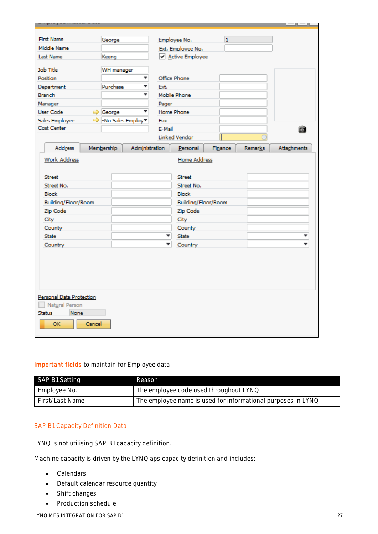| <b>First Name</b>                                                                    | George              |                |              | Employee No.         | $\mathbf{1}$ |                |             |
|--------------------------------------------------------------------------------------|---------------------|----------------|--------------|----------------------|--------------|----------------|-------------|
| Middle Name                                                                          |                     |                |              | Ext. Employee No.    |              |                |             |
| Last Name                                                                            | Keeng               |                |              | Active Employee      |              |                |             |
|                                                                                      |                     |                |              |                      |              |                |             |
| Job Title                                                                            | WH manager          |                |              |                      |              |                |             |
| <b>Position</b>                                                                      |                     | ۳              | Office Phone |                      |              |                |             |
| Department                                                                           | Purchase            | ┯              | Ext.         |                      |              |                |             |
| <b>Branch</b>                                                                        |                     | ٠              |              | Mobile Phone         |              |                |             |
| Manager                                                                              |                     |                | Pager        |                      |              |                |             |
| User Code                                                                            | George              | ÷              | Home Phone   |                      |              |                |             |
| Sales Employee                                                                       | → - No Sales Employ |                | Fax          |                      |              |                |             |
| Cost Center                                                                          |                     |                | E-Mail       |                      |              |                | íà          |
|                                                                                      |                     |                |              | <b>Linked Vendor</b> |              |                |             |
| Address                                                                              | Membership          | Administration |              | Personal             | Finance      | <b>Remarks</b> | Attachments |
| <b>Work Address</b>                                                                  |                     |                |              | <b>Home Address</b>  |              |                |             |
| <b>Street</b>                                                                        |                     |                |              | <b>Street</b>        |              |                |             |
| Street No.                                                                           |                     |                |              | Street No.           |              |                |             |
| <b>Block</b>                                                                         |                     |                |              | <b>Block</b>         |              |                |             |
| Building/Floor/Room                                                                  |                     |                |              | Building/Floor/Room  |              |                |             |
| Zip Code                                                                             |                     |                |              | Zip Code             |              |                |             |
| City                                                                                 |                     |                |              | City                 |              |                |             |
| County                                                                               |                     |                |              | County               |              |                |             |
| <b>State</b>                                                                         |                     |                | ۰            | State                |              |                |             |
| Country                                                                              |                     |                |              | Country              |              |                |             |
| Personal Data Protection<br>Natural Person<br>None<br><b>Status</b><br>OK.<br>Cancel |                     |                |              |                      |              |                |             |
|                                                                                      |                     |                |              |                      |              |                |             |

### Important fields to maintain for Employee data

| SAP B1 Setting  | Reason                                                       |
|-----------------|--------------------------------------------------------------|
| Employee No.    | The employee code used throughout LYNQ                       |
| First/Last Name | The employee name is used for informational purposes in LYNQ |

#### SAP B1 Capacity Definition Data

LYNQ is not utilising SAP B1 capacity definition.

Machine capacity is driven by the LYNQ aps capacity definition and includes:

- Calendars
- Default calendar resource quantity
- Shift changes
- Production schedule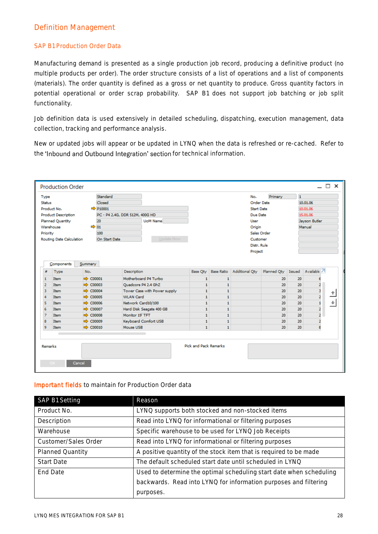### Definition Management

### SAP B1 Production Order Data

Manufacturing demand is presented as a single production job record, producing a definitive product (no multiple products per order). The order structure consists of a list of operations and a list of components (materials). The order quantity is defined as a gross or net quantity to produce. Gross quantity factors in potential operational or order scrap probability. SAP B1 does not support job batching or job split functionality.

Job definition data is used extensively in detailed scheduling, dispatching, execution management, data collection, tracking and performance analysis.

New or updated jobs will appear or be updated in LYNQ when the data is refreshed or re-cached. Refer to the 'Inbound and Outbound Integration' section for technical information.

| Type                                    |                                    |                                              | Standard             |                                   |                              |                              | No.                                                 | Primary           | $\mathbf{1}$ |               |  |
|-----------------------------------------|------------------------------------|----------------------------------------------|----------------------|-----------------------------------|------------------------------|------------------------------|-----------------------------------------------------|-------------------|--------------|---------------|--|
| <b>Status</b>                           |                                    |                                              | Closed               |                                   |                              |                              |                                                     | <b>Order Date</b> |              | 10.01.06      |  |
|                                         | Product No.                        |                                              | $\Rightarrow$ P10001 |                                   |                              |                              | Start Date                                          |                   |              | 10.01.06      |  |
|                                         | Product Description                |                                              |                      | PC - P4 2.4G, DDR 512M, 400G HD   |                              |                              | Due Date                                            |                   |              | 15.01.06      |  |
|                                         | Planned Quantity<br>20<br>UoM Name |                                              |                      | User                              |                              |                              |                                                     | Jayson Butler     |              |               |  |
|                                         | Warehouse                          | $\Rightarrow$ 01                             |                      |                                   |                              | Origin                       |                                                     |                   |              | Manual        |  |
| Priority                                |                                    |                                              | 100                  |                                   |                              |                              |                                                     | Sales Order       |              |               |  |
|                                         | Routing Date Calculation           |                                              | On Start Date        | Update Now                        |                              |                              | Customer                                            |                   |              |               |  |
| Distr. Rule                             |                                    |                                              |                      |                                   |                              |                              |                                                     |                   |              |               |  |
|                                         |                                    |                                              |                      |                                   |                              |                              | Project                                             |                   |              |               |  |
|                                         | Components                         | Summary                                      |                      |                                   |                              |                              |                                                     |                   |              |               |  |
|                                         |                                    |                                              |                      |                                   |                              |                              |                                                     |                   |              |               |  |
|                                         | Type                               | No.                                          |                      | Description                       | Base Oty                     | <b>Base Ratio</b>            | Additional Qty   Planned Qty   Issued   Available 7 |                   |              |               |  |
|                                         | <b>Item</b>                        | $\Rightarrow$ C00001                         |                      | Motherboard P4 Turbo              | $\mathbf{1}$                 | $\mathbf{1}$                 |                                                     | 20                | 20           | 6             |  |
|                                         | <b>Item</b>                        | $\Rightarrow$ C00003                         |                      | Ouadcore P4 2.4 GhZ               | $\mathbf{1}$                 | $\mathbf{1}$                 |                                                     | 20                | 20           | 2             |  |
|                                         | <b>Item</b>                        | $\Rightarrow$ C00004                         |                      | Tower Case with Power supply      | $\mathbf{1}$                 | $\mathbf{1}$                 |                                                     | 20                | 20           | з             |  |
|                                         | <b>Item</b>                        | $\Rightarrow$ C00005                         |                      | <b>WLAN Card</b>                  | $\mathbf{1}$                 | $\mathbf{1}$                 |                                                     | 20                | 20           | 2             |  |
| #<br>1<br>$\overline{2}$<br>з<br>4<br>5 | <b>Item</b>                        | $\Rightarrow$ C00006                         |                      | Network Card10/100                | $\mathbf{1}$                 | $\mathbf{1}$                 |                                                     | 20                | 20           | 1             |  |
| 6                                       | <b>Item</b>                        | $\Rightarrow$ C00007                         |                      | Hard Disk Seagate 400 GB          | $\mathbf{1}$                 | 1                            |                                                     | 20                | 20           |               |  |
| $\overline{7}$                          | <b>Item</b>                        | $\Rightarrow$ C00008                         |                      | Monitor 19' TFT                   | $\mathbf{1}$                 | $\mathbf{1}$                 |                                                     | 20                | 20           | $\frac{2}{2}$ |  |
| 8<br>9                                  | <b>Item</b><br>Item                | $\Rightarrow$ C00009<br>$\Rightarrow$ C00010 |                      | Keyboard Comfort USB<br>Mouse USB | $\mathbf{1}$<br>$\mathbf{1}$ | $\mathbf{1}$<br>$\mathbf{1}$ |                                                     | 20<br>20          | 20<br>20     | 2<br>я        |  |

### Important fields to maintain for Production Order data

| SAP B1 Setting          | Reason                                                              |  |  |  |  |
|-------------------------|---------------------------------------------------------------------|--|--|--|--|
| Product No.             | LYNQ supports both stocked and non-stocked items                    |  |  |  |  |
| Description             | Read into LYNQ for informational or filtering purposes              |  |  |  |  |
| Warehouse               | Specific warehouse to be used for LYNQ Job Receipts                 |  |  |  |  |
| Customer/Sales Order    | Read into LYNQ for informational or filtering purposes              |  |  |  |  |
| <b>Planned Quantity</b> | A positive quantity of the stock item that is required to be made   |  |  |  |  |
| <b>Start Date</b>       | The default scheduled start date until scheduled in LYNQ            |  |  |  |  |
| End Date                | Used to determine the optimal scheduling start date when scheduling |  |  |  |  |
|                         | backwards. Read into LYNQ for information purposes and filtering    |  |  |  |  |
|                         | purposes.                                                           |  |  |  |  |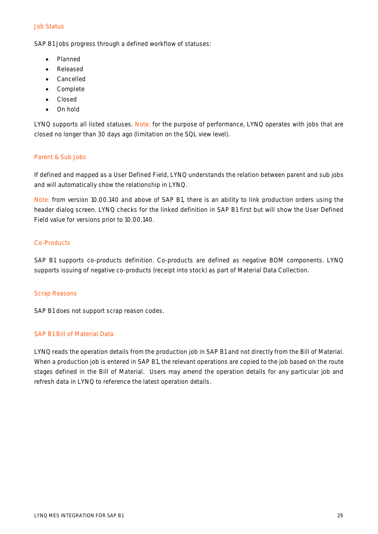#### Job Status

SAP B1 Jobs progress through a defined workflow of statuses:

- Planned
- Released
- Cancelled
- Complete
- Closed
- On hold

LYNQ supports all listed statuses. Note: for the purpose of performance, LYNQ operates with jobs that are closed no longer than 30 days ago (limitation on the SQL view level).

#### Parent & Sub Jobs

If defined and mapped as a User Defined Field, LYNQ understands the relation between parent and sub jobs and will automatically show the relationship in LYNQ.

Note: from version 10.00.140 and above of SAP B1, there is an ability to link production orders using the header dialog screen. LYNQ checks for the linked definition in SAP B1 first but will show the User Defined Field value for versions prior to 10.00.140.

#### Co-Products

SAP B1 supports co-products definition. Co-products are defined as negative BOM components. LYNQ supports issuing of negative co-products (receipt into stock) as part of Material Data Collection.

#### Scrap Reasons

SAP B1 does not support scrap reason codes.

#### SAP B1 Bill of Material Data

LYNQ reads the operation details from the production job in SAP B1 and not directly from the Bill of Material. When a production job is entered in SAP B1, the relevant operations are copied to the job based on the route stages defined in the Bill of Material. Users may amend the operation details for any particular job and refresh data in LYNQ to reference the latest operation details.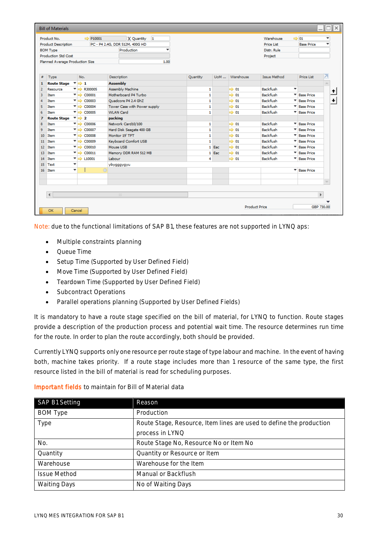|                | <b>Bill of Materials</b>                                        |                                                            |                                       |              |       |                  |                      |                        | –∥⊡∥×∣      |
|----------------|-----------------------------------------------------------------|------------------------------------------------------------|---------------------------------------|--------------|-------|------------------|----------------------|------------------------|-------------|
|                | Product No.                                                     | $\Rightarrow$ P10001                                       | X Quantity 1                          |              |       |                  | Warehouse            | $\Rightarrow$ 01       | ٠           |
|                | <b>Product Description</b>                                      |                                                            | PC - P4 2.4G, DDR 512M, 400G HD       |              |       |                  | <b>Price List</b>    | <b>Base Price</b>      |             |
|                | <b>BOM Type</b>                                                 |                                                            | Production                            |              |       |                  | Distr. Rule          |                        |             |
|                | <b>Production Std Cost</b>                                      |                                                            |                                       |              |       |                  | Project              |                        |             |
|                | Planned Average Production Size                                 |                                                            | 1.00                                  |              |       |                  |                      |                        |             |
|                |                                                                 |                                                            |                                       |              |       |                  |                      |                        |             |
| #              | Type                                                            | No.                                                        | Description                           | Quantity     |       | UoM  Warehouse   | <b>Issue Method</b>  | Price List             |             |
| $\mathbf{1}$   | Route Stage $\overline{\phantom{a}}$ $\overline{\phantom{a}}$ 1 |                                                            | <b>Assembly</b>                       |              |       |                  |                      |                        |             |
| $\overline{2}$ | Resource                                                        | $\overline{\phantom{a}}$ R300005                           | Assembly Machine                      | 1            |       | $\Rightarrow$ 01 | <b>Backflush</b>     | ٠                      | ♠           |
| 3              | Item                                                            | C00001<br>▼⇒                                               | Motherboard P4 Turbo                  | $\mathbf{1}$ |       | $\Rightarrow$ 01 | <b>Backflush</b>     | <b>Base Price</b>      |             |
| 4              | Item                                                            | $\overline{\phantom{a}}$ $\Rightarrow$ C00003              | Ouadcore P4 2.4 GhZ                   | 1            |       | $\Rightarrow$ 01 | <b>Backflush</b>     | <b>Base Price</b><br>▼ | ۰           |
| 5              | <b>Item</b>                                                     | $\overline{\phantom{a}}$ = C00004                          | Tower Case with Power supply          | 1            |       | $\Rightarrow$ 01 | <b>Backflush</b>     | <b>Base Price</b><br>▼ |             |
| 6              | Item                                                            | $\overline{\phantom{a}}$ = $\overline{\phantom{a}}$ C00005 | <b>WLAN Card</b>                      | $\mathbf{1}$ |       | $\Rightarrow$ 01 | <b>Backflush</b>     | <b>Base Price</b><br>▼ |             |
| $\overline{z}$ | <b>Route Stage</b>                                              | $\overline{\phantom{0}}$ $\Rightarrow$ 2                   | packing                               |              |       |                  |                      |                        |             |
| 8              | Item                                                            | $\overline{\phantom{a}}$ = $\overline{\phantom{a}}$ C00006 | Network Card10/100                    | 1            |       | $\Rightarrow$ 01 | <b>Backflush</b>     | <b>Ease Price</b>      |             |
| ۰              | Item                                                            | $\overline{\phantom{a}}$ = C00007                          | Hard Disk Seagate 400 GB              | $\mathbf{1}$ |       | $\Rightarrow$ 01 | <b>Rackflush</b>     | ▼<br><b>Base Price</b> |             |
| 10             | <b>Item</b>                                                     | $\overline{\phantom{a}}$ = $\overline{\phantom{a}}$ C00008 | Monitor 19' TFT                       | $\mathbf{1}$ |       | $\Rightarrow$ 01 | <b>Backflush</b>     | ۰<br><b>Base Price</b> |             |
| 11             | Item                                                            | $\overline{\phantom{a}}$ = $\overline{\phantom{a}}$ C00009 | Keyboard Comfort USB                  | $\mathbf{1}$ |       | $\Rightarrow$ 01 | <b>Backflush</b>     | <b>Base Price</b>      |             |
| 12             | Item                                                            | $\overline{\phantom{a}}$ = $\overline{\phantom{a}}$ C00010 | Mouse USB                             |              | 1 Eac | $\Rightarrow$ 01 | <b>Backflush</b>     | <b>Base Price</b><br>۰ |             |
| 13             | Item                                                            | $\overline{\phantom{a}}$ $\Rightarrow$ C00011              | Memory DDR RAM 512 MB                 |              | 1 Eac | $\Rightarrow$ 01 | <b>Backflush</b>     | <b>Base Price</b><br>▼ |             |
| 14             | Item                                                            | $\blacktriangledown$ $\Longrightarrow$ L10001              | Labour                                | 4            |       | $\Rightarrow$ 01 | <b>Backflush</b>     | * Base Price           |             |
| 15             | Text                                                            | ٠                                                          | ybygggygyu                            |              |       |                  |                      |                        |             |
|                | 16 Item                                                         | ٠                                                          | $\bigcirc$                            |              |       |                  |                      | <b>T</b> Base Price    |             |
|                |                                                                 |                                                            |                                       |              |       |                  |                      |                        |             |
|                |                                                                 |                                                            |                                       |              |       |                  |                      |                        |             |
|                |                                                                 |                                                            |                                       |              |       |                  |                      |                        |             |
|                | $\blacktriangleleft$                                            |                                                            | $\frac{1}{2} \frac{1}{2} \frac{1}{2}$ |              |       |                  |                      |                        | $\mathbf b$ |
|                |                                                                 |                                                            |                                       |              |       |                  |                      |                        |             |
|                |                                                                 |                                                            |                                       |              |       |                  | <b>Product Price</b> |                        | GBP 730.00  |
|                | OK                                                              | Cancel                                                     |                                       |              |       |                  |                      |                        |             |

Note: due to the functional limitations of SAP B1, these features are not supported in LYNQ aps:

- Multiple constraints planning
- Queue Time
- Setup Time (Supported by User Defined Field)
- Move Time (Supported by User Defined Field)
- Teardown Time (Supported by User Defined Field)
- Subcontract Operations
- Parallel operations planning (Supported by User Defined Fields)

It is mandatory to have a route stage specified on the bill of material, for LYNQ to function. Route stages provide a description of the production process and potential wait time. The resource determines run time for the route. In order to plan the route accordingly, both should be provided.

Currently LYNQ supports only one resource per route stage of type labour and machine. In the event of having both, machine takes priority. If a route stage includes more than 1 resource of the same type, the first resource listed in the bill of material is read for scheduling purposes.

#### Important fields to maintain for Bill of Material data

| SAP B1 Setting      | Reason                                                              |
|---------------------|---------------------------------------------------------------------|
| <b>BOM Type</b>     | Production                                                          |
| Type                | Route Stage, Resource, Item lines are used to define the production |
|                     | process in LYNQ                                                     |
| No.                 | Route Stage No, Resource No or Item No                              |
| Quantity            | Quantity or Resource or Item                                        |
| Warehouse           | Warehouse for the Item                                              |
| <b>Issue Method</b> | Manual or Backflush                                                 |
| <b>Waiting Days</b> | No of Waiting Days                                                  |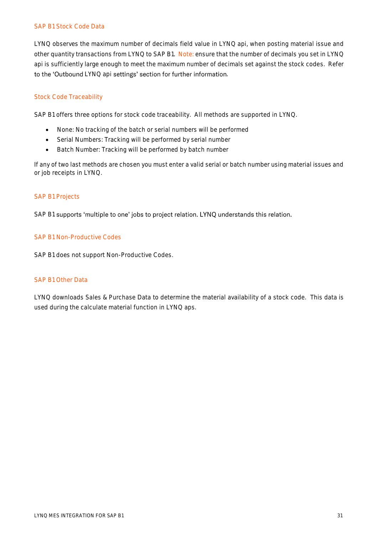#### SAP B1 Stock Code Data

LYNQ observes the maximum number of decimals field value in LYNQ api, when posting material issue and other quantity transactions from LYNQ to SAP B1. Note: ensure that the number of decimals you set in LYNQ api is sufficiently large enough to meet the maximum number of decimals set against the stock codes. Refer to the 'Outbound LYNQ api settings' section for further information.

### Stock Code Traceability

SAP B1 offers three options for stock code traceability. All methods are supported in LYNQ.

- None: No tracking of the batch or serial numbers will be performed
- Serial Numbers: Tracking will be performed by serial number
- Batch Number: Tracking will be performed by batch number

If any of two last methods are chosen you must enter a valid serial or batch number using material issues and or job receipts in LYNQ.

#### SAP B1 Projects

SAP B1 supports 'multiple to one' jobs to project relation. LYNQ understands this relation.

#### SAP B1 Non-Productive Codes

SAP B1 does not support Non-Productive Codes.

#### SAP B1 Other Data

LYNQ downloads Sales & Purchase Data to determine the material availability of a stock code. This data is used during the calculate material function in LYNQ aps.